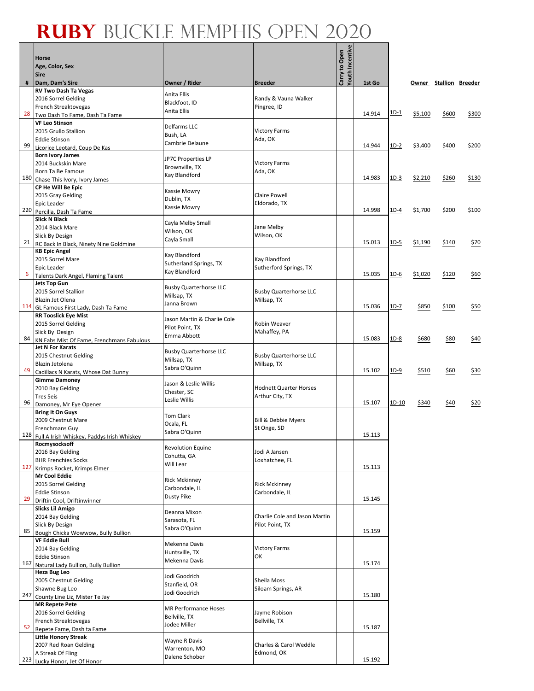|     | Horse<br>Age, Color, Sex<br><b>Sire</b>                              |                                                |                                         | Youth Incentive<br>Carry to Open |        |        |         |                        |       |
|-----|----------------------------------------------------------------------|------------------------------------------------|-----------------------------------------|----------------------------------|--------|--------|---------|------------------------|-------|
| #   | Dam, Dam's Sire                                                      | Owner / Rider                                  | <b>Breeder</b>                          |                                  | 1st Go |        |         | Owner Stallion Breeder |       |
|     | <b>RV Two Dash Ta Vegas</b>                                          | Anita Ellis                                    |                                         |                                  |        |        |         |                        |       |
|     | 2016 Sorrel Gelding<br>French Streaktovegas                          | Blackfoot, ID                                  | Randy & Vauna Walker<br>Pingree, ID     |                                  |        |        |         |                        |       |
| 28  | Two Dash To Fame, Dash Ta Fame                                       | Anita Ellis                                    |                                         |                                  | 14.914 | $1D-1$ | \$5,100 | \$600                  | \$300 |
|     | <b>VF Leo Stinson</b>                                                | Delfarms LLC                                   |                                         |                                  |        |        |         |                        |       |
|     | 2015 Grullo Stallion                                                 | Bush, LA                                       | <b>Victory Farms</b>                    |                                  |        |        |         |                        |       |
| 99  | <b>Eddie Stinson</b><br>Licorice Leotard, Coup De Kas                | Cambrie Delaune                                | Ada, OK                                 |                                  | 14.944 | $1D-2$ | \$3,400 | \$400                  | \$200 |
|     | <b>Born Ivory James</b>                                              |                                                |                                         |                                  |        |        |         |                        |       |
|     | 2014 Buckskin Mare                                                   | JP7C Properties LP<br>Brownville, TX           | <b>Victory Farms</b>                    |                                  |        |        |         |                        |       |
| 180 | Born Ta Be Famous                                                    | Kay Blandford                                  | Ada, OK                                 |                                  | 14.983 | $1D-3$ |         |                        |       |
|     | Chase This Ivory, Ivory James<br>CP He Will Be Epic                  |                                                |                                         |                                  |        |        | \$2,210 | \$260                  | \$130 |
|     | 2015 Gray Gelding                                                    | Kassie Mowry                                   | <b>Claire Powell</b>                    |                                  |        |        |         |                        |       |
|     | Epic Leader                                                          | Dublin, TX<br>Kassie Mowry                     | Eldorado, TX                            |                                  |        |        |         |                        |       |
| 220 | Percilla, Dash Ta Fame                                               |                                                |                                         |                                  | 14.998 | $1D-4$ | \$1,700 | \$200                  | \$100 |
|     | <b>Slick N Black</b><br>2014 Black Mare                              | Cayla Melby Small                              | Jane Melby                              |                                  |        |        |         |                        |       |
|     | Slick By Design                                                      | Wilson, OK                                     | Wilson, OK                              |                                  |        |        |         |                        |       |
| 21  | RC Back In Black, Ninety Nine Goldmine                               | Cayla Small                                    |                                         |                                  | 15.013 | $1D-5$ | \$1,190 | \$140                  | \$70  |
|     | <b>KB Epic Angel</b>                                                 | Kay Blandford                                  |                                         |                                  |        |        |         |                        |       |
|     | 2015 Sorrel Mare<br>Epic Leader                                      | Sutherland Springs, TX                         | Kay Blandford<br>Sutherford Springs, TX |                                  |        |        |         |                        |       |
| 6   | Talents Dark Angel, Flaming Talent                                   | Kay Blandford                                  |                                         |                                  | 15.035 | $1D-6$ | \$1,020 | \$120                  | \$60  |
|     | <b>Jets Top Gun</b>                                                  | <b>Busby Quarterhorse LLC</b>                  |                                         |                                  |        |        |         |                        |       |
|     | 2015 Sorrel Stallion                                                 | Millsap, TX                                    | <b>Busby Quarterhorse LLC</b>           |                                  |        |        |         |                        |       |
|     | Blazin Jet Olena<br>114 GL Famous First Lady, Dash Ta Fame           | Janna Brown                                    | Millsap, TX                             |                                  | 15.036 | $1D-7$ | \$850   | \$100                  | \$50  |
|     | <b>RR Tooslick Eye Mist</b>                                          |                                                |                                         |                                  |        |        |         |                        |       |
|     | 2015 Sorrel Gelding                                                  | Jason Martin & Charlie Cole<br>Pilot Point, TX | Robin Weaver                            |                                  |        |        |         |                        |       |
|     | Slick By Design                                                      | Emma Abbott                                    | Mahaffey, PA                            |                                  |        |        |         |                        |       |
| 84  | KN Fabs Mist Of Fame, Frenchmans Fabulous<br><b>Jet N For Karats</b> |                                                |                                         |                                  | 15.083 | $1D-8$ | \$680   | \$80                   | \$40  |
|     | 2015 Chestnut Gelding                                                | <b>Busby Quarterhorse LLC</b>                  | <b>Busby Quarterhorse LLC</b>           |                                  |        |        |         |                        |       |
|     | Blazin Jetolena                                                      | Millsap, TX<br>Sabra O'Quinn                   | Millsap, TX                             |                                  |        |        |         |                        |       |
| 49  | Cadillacs N Karats, Whose Dat Bunny                                  |                                                |                                         |                                  | 15.102 | $1D-9$ | \$510   | \$60                   | \$30  |
|     | <b>Gimme Damoney</b><br>2010 Bay Gelding                             | Jason & Leslie Willis                          | <b>Hodnett Quarter Horses</b>           |                                  |        |        |         |                        |       |
|     | <b>Tres Seis</b>                                                     | Chester, SC                                    | Arthur City, TX                         |                                  |        |        |         |                        |       |
| 96  | Damoney, Mr Eye Opener                                               | Leslie Willis                                  |                                         |                                  | 15.107 | 1D-10  | \$340   | \$40                   | \$20  |
|     | <b>Bring It On Guys</b>                                              | <b>Tom Clark</b>                               |                                         |                                  |        |        |         |                        |       |
|     | 2009 Chestnut Mare<br><b>Frenchmans Guy</b>                          | Ocala, FL                                      | Bill & Debbie Myers<br>St Onge, SD      |                                  |        |        |         |                        |       |
|     | 128 Full A Irish Whiskey, Paddys Irish Whiskey                       | Sabra O'Quinn                                  |                                         |                                  | 15.113 |        |         |                        |       |
|     | Rocmysocksoff                                                        | <b>Revolution Equine</b>                       |                                         |                                  |        |        |         |                        |       |
|     | 2016 Bay Gelding                                                     | Cohutta, GA                                    | Jodi A Jansen                           |                                  |        |        |         |                        |       |
| 127 | <b>BHR Frenchies Socks</b><br>Krimps Rocket, Krimps Elmer            | Will Lear                                      | Loxhatchee, FL                          |                                  | 15.113 |        |         |                        |       |
|     | <b>Mr Cool Eddie</b>                                                 | <b>Rick Mckinney</b>                           |                                         |                                  |        |        |         |                        |       |
|     | 2015 Sorrel Gelding                                                  | Carbondale, IL                                 | <b>Rick Mckinney</b>                    |                                  |        |        |         |                        |       |
| 29  | <b>Eddie Stinson</b><br>Driftin Cool, Driftinwinner                  | Dusty Pike                                     | Carbondale, IL                          |                                  | 15.145 |        |         |                        |       |
|     | <b>Slicks Lil Amigo</b>                                              |                                                |                                         |                                  |        |        |         |                        |       |
|     | 2014 Bay Gelding                                                     | Deanna Mixon<br>Sarasota, FL                   | Charlie Cole and Jason Martin           |                                  |        |        |         |                        |       |
|     | Slick By Design                                                      | Sabra O'Quinn                                  | Pilot Point, TX                         |                                  |        |        |         |                        |       |
| 85  | Bough Chicka Wowwow, Bully Bullion<br><b>VF Eddie Bull</b>           |                                                |                                         |                                  | 15.159 |        |         |                        |       |
|     | 2014 Bay Gelding                                                     | Mekenna Davis                                  | <b>Victory Farms</b>                    |                                  |        |        |         |                        |       |
|     | <b>Eddie Stinson</b>                                                 | Huntsville, TX<br>Mekenna Davis                | ОΚ                                      |                                  |        |        |         |                        |       |
| 167 | Natural Lady Bullion, Bully Bullion                                  |                                                |                                         |                                  | 15.174 |        |         |                        |       |
|     | <b>Heza Bug Leo</b><br>2005 Chestnut Gelding                         | Jodi Goodrich                                  | Sheila Moss                             |                                  |        |        |         |                        |       |
|     | Shawne Bug Leo                                                       | Stanfield, OR                                  | Siloam Springs, AR                      |                                  |        |        |         |                        |       |
| 247 | County Line Liz, Mister Te Jay                                       | Jodi Goodrich                                  |                                         |                                  | 15.180 |        |         |                        |       |
|     | <b>MR Repete Pete</b>                                                | <b>MR Performance Hoses</b>                    |                                         |                                  |        |        |         |                        |       |
|     | 2016 Sorrel Gelding<br>French Streaktovegas                          | Bellville, TX                                  | Jayme Robison<br>Bellville, TX          |                                  |        |        |         |                        |       |
| 52  | Repete Fame, Dash ta Fame                                            | Jodee Miller                                   |                                         |                                  | 15.187 |        |         |                        |       |
|     | <b>Little Honory Streak</b>                                          | Wayne R Davis                                  |                                         |                                  |        |        |         |                        |       |
|     | 2007 Red Roan Gelding                                                | Warrenton, MO                                  | Charles & Carol Weddle                  |                                  |        |        |         |                        |       |
| 223 | A Streak Of Fling<br>Lucky Honor, Jet Of Honor                       | Dalene Schober                                 | Edmond, OK                              |                                  | 15.192 |        |         |                        |       |
|     |                                                                      |                                                |                                         |                                  |        |        |         |                        |       |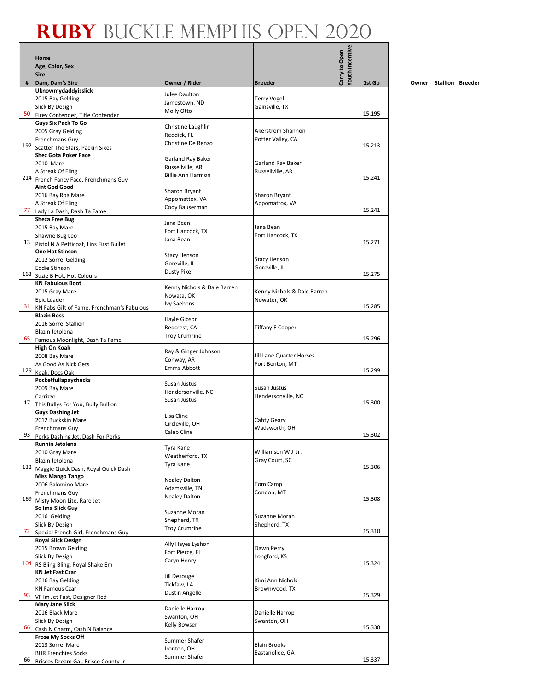|     |                                                                    |                                      |                                             | fouth Incentive |        |
|-----|--------------------------------------------------------------------|--------------------------------------|---------------------------------------------|-----------------|--------|
|     | <b>Horse</b><br>Age, Color, Sex                                    |                                      |                                             | Carry to Open   |        |
|     | <b>Sire</b>                                                        |                                      |                                             |                 |        |
| #   | Dam, Dam's Sire                                                    | Owner / Rider                        | <b>Breeder</b>                              |                 | 1st Go |
|     | Uknowmydaddyisslick                                                | Julee Daulton                        |                                             |                 |        |
|     | 2015 Bay Gelding<br>Slick By Design                                | Jamestown, ND                        | <b>Terry Vogel</b><br>Gainsville, TX        |                 |        |
| 50  | Firey Contender, Title Contender                                   | Molly Otto                           |                                             |                 | 15.195 |
|     | <b>Guys Six Pack To Go</b>                                         | Christine Laughlin                   |                                             |                 |        |
|     | 2005 Gray Gelding                                                  | Reddick, FL                          | Akerstrom Shannon                           |                 |        |
|     | Frenchmans Guy                                                     | Christine De Renzo                   | Potter Valley, CA                           |                 | 15.213 |
|     | 192 Scatter The Stars, Packin Sixes<br><b>Shez Gota Poker Face</b> |                                      |                                             |                 |        |
|     | 2010 Mare                                                          | Garland Ray Baker                    | Garland Ray Baker                           |                 |        |
|     | A Streak Of Fling                                                  | Russellville, AR                     | Russellville, AR                            |                 |        |
|     | 214 French Fancy Face, Frenchmans Guy                              | <b>Billie Ann Harmon</b>             |                                             |                 | 15.241 |
|     | <b>Aint God Good</b>                                               | Sharon Bryant                        |                                             |                 |        |
|     | 2016 Bay Roa Mare                                                  | Appomattox, VA                       | Sharon Bryant                               |                 |        |
| 77  | A Streak Of Fling<br>Lady La Dash, Dash Ta Fame                    | Cody Bauserman                       | Appomattox, VA                              |                 | 15.241 |
|     | <b>Sheza Free Bug</b>                                              |                                      |                                             |                 |        |
|     | 2015 Bay Mare                                                      | Jana Bean<br>Fort Hancock, TX        | Jana Bean                                   |                 |        |
|     | Shawne Bug Leo                                                     | Jana Bean                            | Fort Hancock, TX                            |                 |        |
| 13  | Pistol N A Petticoat, Lins First Bullet                            |                                      |                                             |                 | 15.271 |
|     | <b>One Hot Stinson</b><br>2012 Sorrel Gelding                      | <b>Stacy Henson</b>                  | <b>Stacy Henson</b>                         |                 |        |
|     | <b>Eddie Stinson</b>                                               | Goreville, IL                        | Goreville, IL                               |                 |        |
|     | 163 Suzie B Hot, Hot Colours                                       | <b>Dusty Pike</b>                    |                                             |                 | 15.275 |
|     | <b>KN Fabulous Boot</b>                                            | Kenny Nichols & Dale Barren          |                                             |                 |        |
|     | 2015 Gray Mare                                                     | Nowata, OK                           | Kenny Nichols & Dale Barren                 |                 |        |
| 31  | Epic Leader                                                        | Ivy Saebens                          | Nowater, OK                                 |                 | 15.285 |
|     | KN Fabs Gift of Fame, Frenchman's Fabulous<br><b>Blazin Boss</b>   |                                      |                                             |                 |        |
|     | 2016 Sorrel Stallion                                               | Hayle Gibson                         |                                             |                 |        |
|     | Blazin Jetolena                                                    | Redcrest, CA<br><b>Troy Crumrine</b> | <b>Tiffany E Cooper</b>                     |                 |        |
| 65  | Famous Moonlight, Dash Ta Fame                                     |                                      |                                             |                 | 15.296 |
|     | High On Koak                                                       | Ray & Ginger Johnson                 |                                             |                 |        |
|     | 2008 Bay Mare<br>As Good As Nick Gets                              | Conway, AR                           | Jill Lane Quarter Horses<br>Fort Benton, MT |                 |        |
|     | 129 Koak, Docs Oak                                                 | Emma Abbott                          |                                             |                 | 15.299 |
|     | Pocketfullapaychecks                                               | Susan Justus                         |                                             |                 |        |
|     | 2009 Bay Mare                                                      | Hendersonville, NC                   | Susan Justus                                |                 |        |
| 17  | Carrizzo                                                           | Susan Justus                         | Hendersonville, NC                          |                 | 15.300 |
|     | This Bullys For You, Bully Bullion<br><b>Guys Dashing Jet</b>      |                                      |                                             |                 |        |
|     | 2012 Buckskin Mare                                                 | Lisa Cline                           | Cahty Geary                                 |                 |        |
|     | Frenchmans Guy                                                     | Circleville, OH<br>Caleb Cline       | Wadsworth, OH                               |                 |        |
| 93  | Perks Dashing Jet. Dash For Perks                                  |                                      |                                             |                 | 15.302 |
|     | Runnin Jetolena                                                    | Tyra Kane                            |                                             |                 |        |
|     | 2010 Gray Mare<br>Blazin Jetolena                                  | Weatherford, TX                      | Williamson W J Jr.<br>Gray Court, SC        |                 |        |
| 132 | Maggie Quick Dash, Royal Quick Dash                                | Tyra Kane                            |                                             |                 | 15.306 |
|     | <b>Miss Mango Tango</b>                                            | Nealey Dalton                        |                                             |                 |        |
|     | 2006 Palomino Mare                                                 | Adamsville, TN                       | Tom Camp                                    |                 |        |
| 169 | Frenchmans Guy                                                     | <b>Nealey Dalton</b>                 | Condon, MT                                  |                 | 15.308 |
|     | Misty Moon Lite, Rare Jet<br>So Ima Slick Guy                      |                                      |                                             |                 |        |
|     | 2016 Gelding                                                       | Suzanne Moran                        | Suzanne Moran                               |                 |        |
|     | Slick By Design                                                    | Shepherd, TX<br><b>Troy Crumrine</b> | Shepherd, TX                                |                 |        |
| 72  | Special French Girl, Frenchmans Guy                                |                                      |                                             |                 | 15.310 |
|     | <b>Royal Slick Design</b><br>2015 Brown Gelding                    | Ally Hayes Lyshon                    |                                             |                 |        |
|     | Slick By Design                                                    | Fort Pierce, FL                      | Dawn Perry<br>Longford, KS                  |                 |        |
|     | 104 RS Bling Bling, Royal Shake Em                                 | Caryn Henry                          |                                             |                 | 15.324 |
|     | <b>KN Jet Fast Czar</b>                                            | Jill Desouge                         |                                             |                 |        |
|     | 2016 Bay Gelding                                                   | Tickfaw, LA                          | Kimi Ann Nichols                            |                 |        |
| 93  | <b>KN Famous Czar</b>                                              | Dustin Angelle                       | Brownwood, TX                               |                 | 15.329 |
|     | VF Im Jet Fast, Designer Red<br><b>Mary Jane Slick</b>             |                                      |                                             |                 |        |
|     | 2016 Black Mare                                                    | Danielle Harrop                      | Danielle Harrop                             |                 |        |
|     | Slick By Design                                                    | Swanton, OH<br>Kelly Bowser          | Swanton, OH                                 |                 |        |
| 66  | Cash N Charm, Cash N Balance                                       |                                      |                                             |                 | 15.330 |
|     | Froze My Socks Off<br>2013 Sorrel Mare                             | Summer Shafer                        | Elain Brooks                                |                 |        |
|     | <b>BHR Frenchies Socks</b>                                         | Ironton, OH                          | Eastanollee, GA                             |                 |        |
| 66  | Briscos Dream Gal, Brisco County Jr                                | Summer Shafer                        |                                             |                 | 15.337 |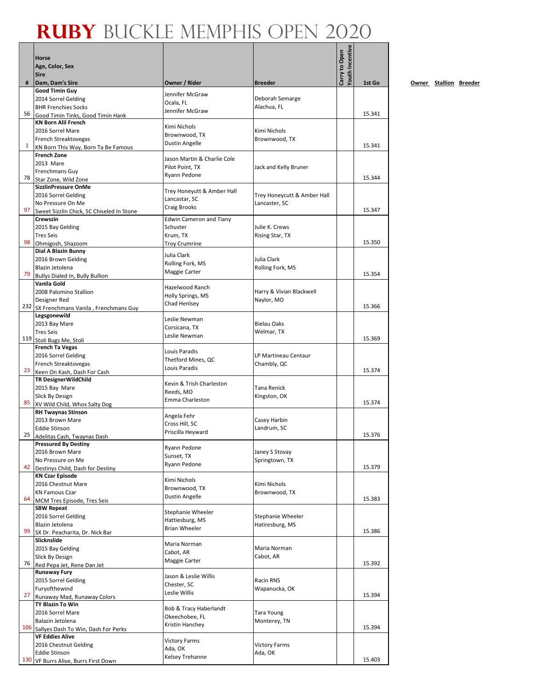|     | Horse                                                      |                                   |                                     | Youth Incentive<br>Carry to Open |        |
|-----|------------------------------------------------------------|-----------------------------------|-------------------------------------|----------------------------------|--------|
|     | Age, Color, Sex<br><b>Sire</b>                             |                                   |                                     |                                  |        |
| #   | Dam, Dam's Sire                                            | Owner / Rider                     | <b>Breeder</b>                      |                                  | 1st Go |
|     | <b>Good Timin Guy</b>                                      | Jennifer McGraw                   |                                     |                                  |        |
|     | 2014 Sorrel Gelding<br><b>BHR Frenchies Socks</b>          | Ocala, FL                         | Deborah Semarge<br>Alachua, FL      |                                  |        |
| 56  | Good Timin Tinks, Good Timin Hank                          | Jennifer McGraw                   |                                     |                                  | 15.341 |
|     | <b>KN Born Alil French</b>                                 | Kimi Nichols                      |                                     |                                  |        |
|     | 2016 Sorrel Mare                                           | Brownwood, TX                     | Kimi Nichols                        |                                  |        |
| 1   | French Streaktovegas                                       | Dustin Angelle                    | Brownwood, TX                       |                                  | 15.341 |
|     | KN Born This Way, Born Ta Be Famous<br><b>French Zone</b>  |                                   |                                     |                                  |        |
|     | 2013 Mare                                                  | Jason Martin & Charlie Cole       |                                     |                                  |        |
|     | Frenchmans Guy                                             | Pilot Point, TX<br>Ryann Pedone   | Jack and Kelly Bruner               |                                  |        |
| 78  | Star Zone, Wild Zone                                       |                                   |                                     |                                  | 15.344 |
|     | SizzlinPressure OnMe<br>2016 Sorrel Gelding                | Trey Honeyutt & Amber Hall        | Trey Honeycutt & Amber Hall         |                                  |        |
|     | No Pressure On Me                                          | Lancastar, SC                     | Lancaster, SC                       |                                  |        |
| 97  | Sweet Sizzlin Chick, SC Chiseled In Stone                  | Craig Brooks                      |                                     |                                  | 15.347 |
|     | Crewszin                                                   | <b>Edwin Cameron and Tiany</b>    |                                     |                                  |        |
|     | 2015 Bay Gelding<br><b>Tres Seis</b>                       | Schuster<br>Krum, TX              | Julie K. Crews<br>Rising Star, TX   |                                  |        |
| 98  | Ohmigosh, Shazoom                                          | <b>Troy Crumrine</b>              |                                     |                                  | 15.350 |
|     | Dial A Blazin Bunny                                        | Julia Clark                       |                                     |                                  |        |
|     | 2016 Brown Gelding                                         | Rolling Fork, MS                  | Julia Clark                         |                                  |        |
| 79  | Blazin Jetolena                                            | Maggie Carter                     | Rolling Fork, MS                    |                                  | 15.354 |
|     | Bullys Dialed In, Bully Bullion<br>Vanila Gold             |                                   |                                     |                                  |        |
|     | 2008 Palomino Stallion                                     | Hazelwood Ranch                   | Harry & Vivian Blackwell            |                                  |        |
|     | Designer Red                                               | Holly Springs, MS<br>Chad Henlsey | Naylor, MO                          |                                  |        |
|     | 232 SX Frenchmans Vanila, Frenchmans Guy                   |                                   |                                     |                                  | 15.366 |
|     | Legsgonewild<br>2013 Bay Mare                              | Leslie Newman                     | <b>Bielau Oaks</b>                  |                                  |        |
|     | <b>Tres Seis</b>                                           | Corsicana, TX                     | Welmar, TX                          |                                  |        |
| 119 | Stoli Bugs Me, Stoli                                       | Leslie Newman                     |                                     |                                  | 15.369 |
|     | <b>French Ta Vegas</b>                                     | Louis Paradis                     |                                     |                                  |        |
|     | 2016 Sorrel Gelding<br>French Streaktovegas                | Thetford Mines, QC                | LP Martineau Centaur<br>Chambly, QC |                                  |        |
| 23  | Keen On Kash, Dash For Cash                                | Louis Paradis                     |                                     |                                  | 15.374 |
|     | TR DesignerWildChild                                       | Kevin & Trish Charleston          |                                     |                                  |        |
|     | 2015 Bay Mare                                              | Reeds, MO                         | <b>Tana Renick</b>                  |                                  |        |
| 85  | Slick By Design                                            | Emma Charleston                   | Kingston, OK                        |                                  | 15.374 |
|     | XV Wild Child, Whos Salty Dog<br><b>RH Twaynas Stinson</b> |                                   |                                     |                                  |        |
|     | 2013 Brown Mare                                            | Angela Fehr<br>Cross Hill, SC     | Casey Harbin                        |                                  |        |
|     | <b>Eddie Stinson</b>                                       | Priscilla Heyward                 | Landrum, SC                         |                                  |        |
| 25  | Adelitas Cash, Twaynas Dash<br><b>Pressured By Destiny</b> |                                   |                                     |                                  | 15.376 |
|     | 2016 Brown Mare                                            | Ryann Pedone                      | Janey S Stovay                      |                                  |        |
|     | No Pressure on Me                                          | Sunset, TX<br>Ryann Pedone        | Springtown, TX                      |                                  |        |
| 42  | Destinys Child, Dash for Destiny                           |                                   |                                     |                                  | 15.379 |
|     | <b>KN Czar Episode</b><br>2016 Chestnut Mare               | Kimi Nichols                      | Kimi Nichols                        |                                  |        |
|     | <b>KN Famous Czar</b>                                      | Brownwood, TX                     | Brownwood, TX                       |                                  |        |
| 64  | MCM Tres Episode, Tres Seis                                | <b>Dustin Angelle</b>             |                                     |                                  | 15.383 |
|     | <b>SBW Repeat</b>                                          | Stephanie Wheeler                 |                                     |                                  |        |
|     | 2016 Sorrel Gelding                                        | Hattiesburg, MS                   | <b>Stephanie Wheeler</b>            |                                  |        |
| 99  | Blazin Jetolena<br>SX Dr. Peacharita, Dr. Nick Bar         | <b>Brian Wheeler</b>              | Hatiresburg, MS                     |                                  | 15.386 |
|     | Slicknslide                                                |                                   |                                     |                                  |        |
|     | 2015 Bay Gelding                                           | Maria Norman<br>Cabot, AR         | Maria Norman                        |                                  |        |
| 76  | Slick By Design                                            | Maggie Carter                     | Cabot, AR                           |                                  | 15.392 |
|     | Red Pepa Jet, Rene Dan Jet<br><b>Runaway Fury</b>          |                                   |                                     |                                  |        |
|     | 2015 Sorrel Gelding                                        | Jason & Leslie Willis             | Racin RNS                           |                                  |        |
|     | Furyofthewind                                              | Chester, SC<br>Leslie Willis      | Wapanucka, OK                       |                                  |        |
| 27  | Runaway Mad, Runaway Colors                                |                                   |                                     |                                  | 15.394 |
|     | TY Blazin To Win<br>2016 Sorrel Mare                       | Bob & Tracy Haberlandt            |                                     |                                  |        |
|     | Balazin Jetolena                                           | Okeechobee, FL                    | Tara Young<br>Monterey, TN          |                                  |        |
|     | 106 Sallyes Dash To Win, Dash For Perks                    | Kristin Hanchey                   |                                     |                                  | 15.394 |
|     | <b>VF Eddies Alive</b>                                     | <b>Victory Farms</b>              |                                     |                                  |        |
|     | 2016 Chestnut Gelding                                      | Ada, OK                           | <b>Victory Farms</b>                |                                  |        |
| 130 | <b>Eddie Stinson</b>                                       | Kelsey Trehanne                   | Ada, OK                             |                                  | 15.403 |
|     | VF Burrs Alive, Burrs First Down                           |                                   |                                     |                                  |        |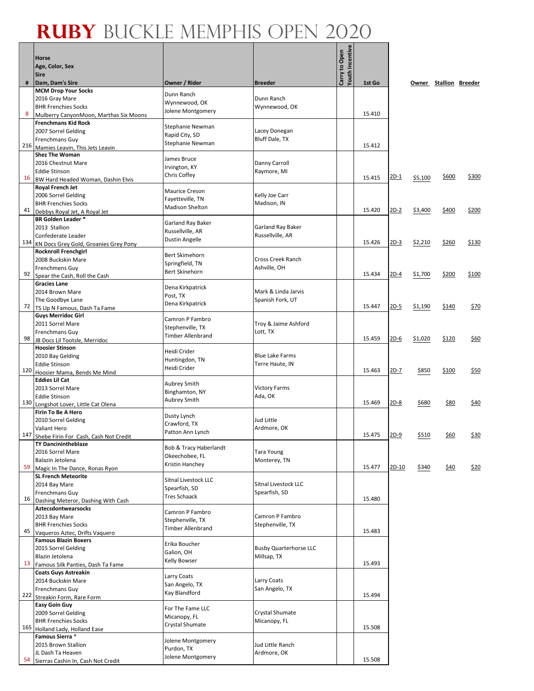|     | Horse<br>Age, Color, Sex<br><b>Sire</b>                      |                                            |                                 | Youth Incentive<br>Carry to Open |        |             |         |                        |       |
|-----|--------------------------------------------------------------|--------------------------------------------|---------------------------------|----------------------------------|--------|-------------|---------|------------------------|-------|
| #   | Dam, Dam's Sire                                              | Owner / Rider                              | <b>Breeder</b>                  |                                  | 1st Go |             |         | Owner Stallion Breeder |       |
|     | <b>MCM Drop Your Socks</b><br>2016 Gray Mare                 | Dunn Ranch                                 | Dunn Ranch                      |                                  |        |             |         |                        |       |
|     | <b>BHR Frenchies Socks</b>                                   | Wynnewood, OK                              | Wynnewood, OK                   |                                  |        |             |         |                        |       |
| 8   | Mulberry CanyonMoon, Marthas Six Moons                       | Jolene Montgomery                          |                                 |                                  | 15.410 |             |         |                        |       |
|     | <b>Frenchmans Kid Rock</b>                                   | Stephanie Newman                           |                                 |                                  |        |             |         |                        |       |
|     | 2007 Sorrel Gelding                                          | Rapid City, SD                             | Lacey Donegan<br>Bluff Dale, TX |                                  |        |             |         |                        |       |
| 216 | Frenchmans Guy<br>Mamies Leavin, This Jets Leavin            | Stephanie Newman                           |                                 |                                  | 15.412 |             |         |                        |       |
|     | <b>Shez The Woman</b>                                        | James Bruce                                |                                 |                                  |        |             |         |                        |       |
|     | 2016 Chestnut Mare                                           | Irvington, KY                              | Danny Carroll                   |                                  |        |             |         |                        |       |
| 16  | <b>Eddie Stinson</b>                                         | Chris Coffey                               | Raymore, MI                     |                                  | 15.415 | <u>2D-1</u> | \$5,100 | \$600                  | \$300 |
|     | BW Hard Headed Woman, Dashin Elvis<br>Royal French Jet       |                                            |                                 |                                  |        |             |         |                        |       |
|     | 2006 Sorrel Gelding                                          | Maurice Creson                             | Kelly Joe Carr                  |                                  |        |             |         |                        |       |
|     | <b>BHR Frenchies Socks</b>                                   | Fayetteville, TN<br><b>Madison Shelton</b> | Madison, IN                     |                                  |        |             |         |                        |       |
| 41  | Debbys Royal Jet, A Royal Jet                                |                                            |                                 |                                  | 15.420 | $2D-2$      | \$3,400 | \$400                  | \$200 |
|     | <b>BR Golden Leader *</b><br>2013 Stallion                   | Garland Ray Baker                          | Garland Ray Baker               |                                  |        |             |         |                        |       |
|     | Confederate Leader                                           | Russellville, AR                           | Russellville, AR                |                                  |        |             |         |                        |       |
| 134 | KN Docs Grey Gold, Groanies Grey Pony                        | Dustin Angelle                             |                                 |                                  | 15.426 | $2D-3$      | \$2,210 | \$260                  | \$130 |
|     | <b>Rocknroll Frenchgirl</b>                                  | Bert Skimehorn                             |                                 |                                  |        |             |         |                        |       |
|     | 2008 Buckskin Mare                                           | Springfield, TN                            | Cross Creek Ranch               |                                  |        |             |         |                        |       |
| 92  | Frenchmens Guy<br>Spear the Cash, Roll the Cash              | <b>Bert Skinehorn</b>                      | Ashville, OH                    |                                  | 15.434 | $2D-4$      | \$1,700 | \$200                  | \$100 |
|     | <b>Gracies Lane</b>                                          | Dena Kirkpatrick                           |                                 |                                  |        |             |         |                        |       |
|     | 2014 Brown Mare                                              | Post, TX                                   | Mark & Linda Jarvis             |                                  |        |             |         |                        |       |
| 72  | The Goodbye Lane                                             | Dena Kirkpatrick                           | Spanish Fork, UT                |                                  | 15.447 | $2D-5$      | \$1,190 | \$140                  | \$70  |
|     | TS Up N Famous, Dash Ta Fame<br><b>Guys Merridoc Girl</b>    |                                            |                                 |                                  |        |             |         |                        |       |
|     | 2011 Sorrel Mare                                             | Camron P Fambro                            | Troy & Jaime Ashford            |                                  |        |             |         |                        |       |
|     | Frenchmans Guy                                               | Stephenville, TX<br>Timber Allenbrand      | Lott, TX                        |                                  |        |             |         |                        |       |
| 98  | JB Docs Lil Tootsle, Merridoc                                |                                            |                                 |                                  | 15.459 | $2D-6$      | \$1,020 | \$120                  | \$60  |
|     | <b>Hoosier Stinson</b><br>2010 Bay Gelding                   | Heidi Crider                               | <b>Blue Lake Farms</b>          |                                  |        |             |         |                        |       |
|     | <b>Eddie Stinson</b>                                         | Huntingdon, TN                             | Terre Haute, IN                 |                                  |        |             |         |                        |       |
| 120 | Hoosier Mama, Bends Me Mind                                  | Heidi Crider                               |                                 |                                  | 15.463 | <u>2D-7</u> | \$850   | \$100                  | \$50  |
|     | <b>Eddies Lil Cat</b>                                        | Aubrey Smith                               |                                 |                                  |        |             |         |                        |       |
|     | 2013 Sorrel Mare<br><b>Eddie Stinson</b>                     | Binghamton, NY                             | <b>Victory Farms</b><br>Ada, OK |                                  |        |             |         |                        |       |
| 130 | Longshot Lover, Little Cat Olena                             | <b>Aubrey Smith</b>                        |                                 |                                  | 15.469 | $2D-8$      | \$680   | \$80                   | \$40  |
|     | Firin To Be A Hero                                           | Dusty Lynch                                |                                 |                                  |        |             |         |                        |       |
|     | 2010 Sorrel Gelding                                          | Crawford, TX                               | <b>Jud Little</b>               |                                  |        |             |         |                        |       |
| 147 | Valiant Hero<br>Shebe Firin For Cash, Cash Not Credit        | Patton Ann Lynch                           | Ardmore, OK                     |                                  | 15.475 | $2D-9$      | \$510   | <u>\$60</u>            | \$30  |
|     | <b>TY Dancinintheblaze</b>                                   | Bob & Tracy Haberlandt                     |                                 |                                  |        |             |         |                        |       |
|     | 2016 Sorrel Mare                                             | Okeechobee, FL                             | <b>Tara Young</b>               |                                  |        |             |         |                        |       |
| 59  | Balazin Jetolena                                             | Kristin Hanchey                            | Monterey, TN                    |                                  | 15.477 | $2D-10$     | \$340   | \$40                   | \$20  |
|     | Magic In The Dance, Ronas Ryon<br><b>SL French Meteorite</b> |                                            |                                 |                                  |        |             |         |                        |       |
|     | 2014 Bay Mare                                                | Sitnal Livestock LLC<br>Spearfish, SD      | Sitnal Livestock LLC            |                                  |        |             |         |                        |       |
|     | Frenchmans Guy                                               | Tres Schaack                               | Spearfish, SD                   |                                  | 15.480 |             |         |                        |       |
| 16  | Dashing Meteror, Dashing With Cash<br>Aztecsdontwearsocks    |                                            |                                 |                                  |        |             |         |                        |       |
|     | 2013 Bay Mare                                                | Camron P Fambro                            | Camron P Fambro                 |                                  |        |             |         |                        |       |
|     | <b>BHR Frenchies Socks</b>                                   | Stephenville, TX<br>Timber Allenbrand      | Stephenville, TX                |                                  |        |             |         |                        |       |
| 45  | Vaqueros Aztec, Drifts Vaquero                               |                                            |                                 |                                  | 15.483 |             |         |                        |       |
|     | <b>Famous Blazin Boxers</b><br>2015 Sorrel Gelding           | Erika Boucher                              | <b>Busby Quarterhorse LLC</b>   |                                  |        |             |         |                        |       |
|     | Blazin Jetolena                                              | Galion, OH                                 | Millsap, TX                     |                                  |        |             |         |                        |       |
| 13  | Famous Silk Panties, Dash Ta Fame                            | Kelly Bowser                               |                                 |                                  | 15.493 |             |         |                        |       |
|     | <b>Coats Guys Astreakin</b>                                  | Larry Coats                                |                                 |                                  |        |             |         |                        |       |
|     | 2014 Buckskin Mare                                           | San Angelo, TX                             | Larry Coats<br>San Angelo, TX   |                                  |        |             |         |                        |       |
| 222 | Frenchmans Guy<br>Streakin Form, Rare Form                   | Kay Blandford                              |                                 |                                  | 15.494 |             |         |                        |       |
|     | <b>Easy Goin Guy</b>                                         | For The Fame LLC                           |                                 |                                  |        |             |         |                        |       |
|     | 2009 Sorrel Gelding                                          | Micanopy, FL                               | Crystal Shumate                 |                                  |        |             |         |                        |       |
| 165 | <b>BHR Frenchies Socks</b>                                   | Crystal Shumate                            | Micanopy, FL                    |                                  | 15.508 |             |         |                        |       |
|     | Holland Lady, Holland Ease<br>Famous Sierra *                |                                            |                                 |                                  |        |             |         |                        |       |
|     | 2015 Brown Stallion                                          | Jolene Montgomery<br>Purdon, TX            | Jud Little Ranch                |                                  |        |             |         |                        |       |
| 54  | JL Dash Ta Heaven                                            | Jolene Montgomery                          | Ardmore, OK                     |                                  | 15.508 |             |         |                        |       |
|     | Sierras Cashin In, Cash Not Credit                           |                                            |                                 |                                  |        |             |         |                        |       |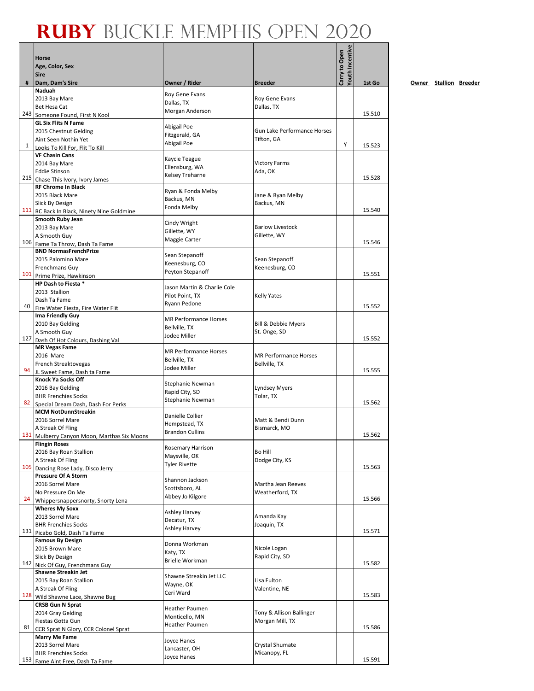|     | Horse                                                          |                                               |                                | Youth Incentive<br>Carry to Open |        |
|-----|----------------------------------------------------------------|-----------------------------------------------|--------------------------------|----------------------------------|--------|
|     | Age, Color, Sex                                                |                                               |                                |                                  |        |
|     | <b>Sire</b>                                                    |                                               |                                |                                  |        |
| #   | Dam, Dam's Sire<br>Naduah                                      | Owner / Rider                                 | <b>Breeder</b>                 |                                  | 1st Go |
|     | 2013 Bay Mare                                                  | Roy Gene Evans                                | Roy Gene Evans                 |                                  |        |
|     | Bet Hesa Cat                                                   | Dallas, TX                                    | Dallas, TX                     |                                  |        |
|     | 243 Someone Found, First N Kool                                | Morgan Anderson                               |                                |                                  | 15.510 |
|     | <b>GL Six Flits N Fame</b>                                     |                                               |                                |                                  |        |
|     | 2015 Chestnut Gelding                                          | Abigail Poe<br>Fitzgerald, GA                 | Gun Lake Performance Horses    |                                  |        |
|     | Aint Seen Nothin Yet                                           | Abigail Poe                                   | Tifton, GA                     | Υ                                |        |
| 1   | Looks To Kill For. Flit To Kill                                |                                               |                                |                                  | 15.523 |
|     | <b>VF Chasin Cans</b>                                          | Kaycie Teague                                 |                                |                                  |        |
|     | 2014 Bay Mare                                                  | Ellensburg, WA                                | <b>Victory Farms</b>           |                                  |        |
|     | <b>Eddie Stinson</b>                                           | Kelsey Treharne                               | Ada, OK                        |                                  | 15.528 |
|     | 215 Chase This Ivory, Ivory James<br><b>RF Chrome In Black</b> |                                               |                                |                                  |        |
|     | 2015 Black Mare                                                | Ryan & Fonda Melby                            | Jane & Ryan Melby              |                                  |        |
|     | Slick By Design                                                | Backus, MN                                    | Backus, MN                     |                                  |        |
|     | 111 RC Back In Black, Ninety Nine Goldmine                     | Fonda Melby                                   |                                |                                  | 15.540 |
|     | Smooth Ruby Jean                                               |                                               |                                |                                  |        |
|     | 2013 Bay Mare                                                  | Cindy Wright<br>Gillette, WY                  | <b>Barlow Livestock</b>        |                                  |        |
|     | A Smooth Guy                                                   | Maggie Carter                                 | Gillette, WY                   |                                  |        |
|     | 106 Fame Ta Throw, Dash Ta Fame                                |                                               |                                |                                  | 15.546 |
|     | <b>BND NormasFrenchPrize</b>                                   | Sean Stepanoff                                |                                |                                  |        |
|     | 2015 Palomino Mare                                             | Keenesburg, CO                                | Sean Stepanoff                 |                                  |        |
|     | Frenchmans Guy                                                 | Peyton Stepanoff                              | Keenesburg, CO                 |                                  | 15.551 |
|     | 101 Prime Prize, Hawkinson<br>HP Dash to Fiesta *              |                                               |                                |                                  |        |
|     | 2013 Stallion                                                  | Jason Martin & Charlie Cole                   |                                |                                  |        |
|     | Dash Ta Fame                                                   | Pilot Point, TX                               | <b>Kelly Yates</b>             |                                  |        |
| 40  | Fire Water Fiesta, Fire Water Flit                             | Ryann Pedone                                  |                                |                                  | 15.552 |
|     | Ima Friendly Guy                                               |                                               |                                |                                  |        |
|     | 2010 Bay Gelding                                               | <b>MR Performance Horses</b><br>Bellville, TX | Bill & Debbie Myers            |                                  |        |
|     | A Smooth Guy                                                   | Jodee Miller                                  | St. Onge, SD                   |                                  |        |
|     | 127 Dash Of Hot Colours, Dashing Val                           |                                               |                                |                                  | 15.552 |
|     | <b>MR Vegas Fame</b>                                           | <b>MR Performance Horses</b>                  |                                |                                  |        |
|     | 2016 Mare                                                      | Bellville, TX                                 | <b>MR Performance Horses</b>   |                                  |        |
| 94  | French Streaktovegas                                           | Jodee Miller                                  | Bellville, TX                  |                                  | 15.555 |
|     | JL Sweet Fame, Dash ta Fame<br>Knock Ya Socks Off              |                                               |                                |                                  |        |
|     | 2016 Bay Gelding                                               | Stephanie Newman                              | <b>Lyndsey Myers</b>           |                                  |        |
|     | <b>BHR Frenchies Socks</b>                                     | Rapid City, SD                                | Tolar, TX                      |                                  |        |
|     | 82 Special Dream Dash, Dash For Perks                          | Stephanie Newman                              |                                |                                  | 15.562 |
|     | <b>MCM NotDunnStreakin</b>                                     |                                               |                                |                                  |        |
|     | 2016 Sorrel Mare                                               | Danielle Collier<br>Hempstead, TX             | Matt & Bendi Dunn              |                                  |        |
|     | A Streak Of Fling                                              | <b>Brandon Cullins</b>                        | Bismarck, MO                   |                                  |        |
|     | 131 Mulberry Canyon Moon, Marthas Six Moons                    |                                               |                                |                                  | 15.562 |
|     | <b>Flingin Roses</b>                                           | <b>Rosemary Harrison</b>                      |                                |                                  |        |
|     | 2016 Bay Roan Stallion                                         | Maysville, OK                                 | Bo Hill                        |                                  |        |
| 105 | A Streak Of Fling                                              | <b>Tyler Rivette</b>                          | Dodge City, KS                 |                                  | 15.563 |
|     | Dancing Rose Lady, Disco Jerry<br><b>Pressure Of A Storm</b>   |                                               |                                |                                  |        |
|     | 2016 Sorrel Mare                                               | Shannon Jackson                               | Martha Jean Reeves             |                                  |        |
|     | No Pressure On Me                                              | Scottsboro, AL                                | Weatherford, TX                |                                  |        |
| 24  | Whippersnappersnorty, Snorty Lena                              | Abbey Jo Kilgore                              |                                |                                  | 15.566 |
|     | <b>Wheres My Soxx</b>                                          | Ashley Harvey                                 |                                |                                  |        |
|     | 2013 Sorrel Mare                                               | Decatur, TX                                   | Amanda Kay                     |                                  |        |
|     | <b>BHR Frenchies Socks</b>                                     | Ashley Harvey                                 | Joaquin, TX                    |                                  |        |
|     | 131 Picabo Gold, Dash Ta Fame                                  |                                               |                                |                                  | 15.571 |
|     | <b>Famous By Design</b>                                        | Donna Workman                                 |                                |                                  |        |
|     | 2015 Brown Mare                                                | Katy, TX                                      | Nicole Logan<br>Rapid City, SD |                                  |        |
|     | Slick By Design<br>142 Nick Of Guy, Frenchmans Guy             | <b>Brielle Workman</b>                        |                                |                                  | 15.582 |
|     | <b>Shawne Streakin Jet</b>                                     |                                               |                                |                                  |        |
|     | 2015 Bay Roan Stallion                                         | Shawne Streakin Jet LLC                       | Lisa Fulton                    |                                  |        |
|     | A Streak Of Fling                                              | Wayne, OK                                     | Valentine, NE                  |                                  |        |
|     | 128 Wild Shawne Lace, Shawne Bug                               | Ceri Ward                                     |                                |                                  | 15.583 |
|     | <b>CRSB Gun N Sprat</b>                                        | <b>Heather Paumen</b>                         |                                |                                  |        |
|     | 2014 Gray Gelding                                              | Monticello, MN                                | Tony & Allison Ballinger       |                                  |        |
|     | Fiestas Gotta Gun                                              | <b>Heather Paumen</b>                         | Morgan Mill, TX                |                                  |        |
|     | 81 CCR Sprat N Glory, CCR Colonel Sprat                        |                                               |                                |                                  | 15.586 |
|     | <b>Marry Me Fame</b>                                           | Joyce Hanes                                   |                                |                                  |        |
|     | 2013 Sorrel Mare                                               | Lancaster, OH                                 | Crystal Shumate                |                                  |        |
| 153 | <b>BHR Frenchies Socks</b><br>Fame Aint Free, Dash Ta Fame     | Joyce Hanes                                   | Micanopy, FL                   |                                  | 15.591 |
|     |                                                                |                                               |                                |                                  |        |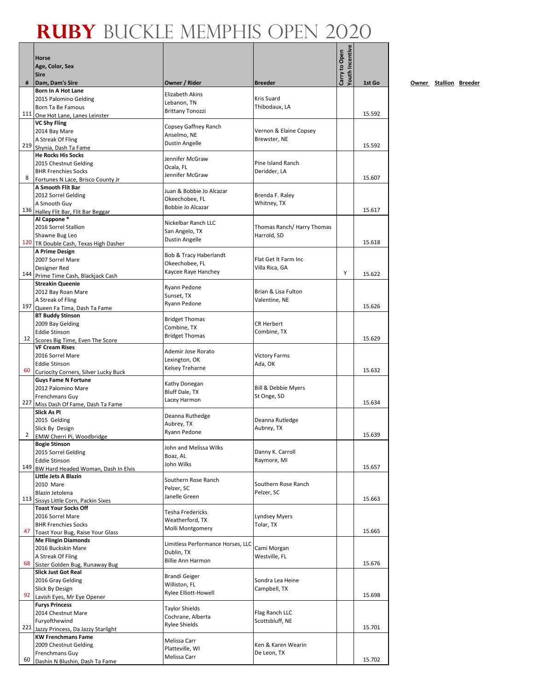Г

|     |                                                                     |                                            |                            | Youth Incentive |        |
|-----|---------------------------------------------------------------------|--------------------------------------------|----------------------------|-----------------|--------|
|     | <b>Horse</b>                                                        |                                            |                            |                 |        |
|     | Age, Color, Sex<br><b>Sire</b>                                      |                                            |                            | Carry to Open   |        |
| #   | Dam, Dam's Sire                                                     | Owner / Rider                              | <b>Breeder</b>             |                 | 1st Go |
|     | Born In A Hot Lane                                                  | Elizabeth Akins                            |                            |                 |        |
|     | 2015 Palomino Gelding                                               | Lebanon, TN                                | Kris Suard                 |                 |        |
|     | Born Ta Be Famous                                                   | <b>Brittany Tonozzi</b>                    | Thibodaux, LA              |                 | 15.592 |
|     | 111 One Hot Lane, Lanes Leinster<br><b>VC Shy Fling</b>             |                                            |                            |                 |        |
|     | 2014 Bay Mare                                                       | Copsey Gaffney Ranch                       | Vernon & Elaine Copsey     |                 |        |
|     | A Streak Of Fling                                                   | Anselmo, NE<br>Dustin Angelle              | Brewster, NE               |                 |        |
|     | 219 Shynia, Dash Ta Fame                                            |                                            |                            |                 | 15.592 |
|     | <b>He Rocks His Socks</b>                                           | Jennifer McGraw                            | Pine Island Ranch          |                 |        |
|     | 2015 Chestnut Gelding<br><b>BHR Frenchies Socks</b>                 | Ocala, FL                                  | Deridder, LA               |                 |        |
| 8   | Fortunes N Lace, Brisco County Jr                                   | Jennifer McGraw                            |                            |                 | 15.607 |
|     | A Smooth Flit Bar                                                   | Juan & Bobbie Jo Alcazar                   |                            |                 |        |
|     | 2012 Sorrel Gelding                                                 | Okeechobee, FL                             | Brenda F. Raley            |                 |        |
| 136 | A Smooth Guy                                                        | Bobbie Jo Alcazar                          | Whitney, TX                |                 | 15.617 |
|     | Halley Flit Bar, Flit Bar Beggar<br>Al Cappone*                     |                                            |                            |                 |        |
|     | 2016 Sorrel Stallion                                                | Nickelbar Ranch LLC                        | Thomas Ranch/ Harry Thomas |                 |        |
|     | Shawne Bug Leo                                                      | San Angelo, TX<br><b>Dustin Angelle</b>    | Harrold, SD                |                 |        |
|     | 120 TR Double Cash, Texas High Dasher                               |                                            |                            |                 | 15.618 |
|     | A Prime Design<br>2007 Sorrel Mare                                  | Bob & Tracy Haberlandt                     | Flat Get It Farm Inc       |                 |        |
|     | Designer Red                                                        | Okeechobee, FL                             | Villa Rica, GA             |                 |        |
| 144 | Prime Time Cash, Blackjack Cash                                     | Kaycee Raye Hanchey                        |                            | Υ               | 15.622 |
|     | <b>Streakin Queenie</b>                                             | Ryann Pedone                               |                            |                 |        |
|     | 2012 Bay Roan Mare                                                  | Sunset, TX                                 | Brian & Lisa Fulton        |                 |        |
| 197 | A Streak of Fling                                                   | Ryann Pedone                               | Valentine, NE              |                 | 15.626 |
|     | Queen Fa Tima, Dash Ta Fame<br><b>BT Buddy Stinson</b>              |                                            |                            |                 |        |
|     | 2009 Bay Gelding                                                    | <b>Bridget Thomas</b>                      | <b>CR Herbert</b>          |                 |        |
|     | <b>Eddie Stinson</b>                                                | Combine, TX<br><b>Bridget Thomas</b>       | Combine, TX                |                 |        |
| 12  | Scores Big Time, Even The Score                                     |                                            |                            |                 | 15.629 |
|     | <b>VF Cream Rises</b><br>2016 Sorrel Mare                           | Ademir Jose Rorato                         | <b>Victory Farms</b>       |                 |        |
|     | <b>Eddie Stinson</b>                                                | Lexington, OK                              | Ada, OK                    |                 |        |
| 60  | Curiocity Corners, Silver Lucky Buck                                | Kelsey Treharne                            |                            |                 | 15.632 |
|     | <b>Guys Fame N Fortune</b>                                          | Kathy Donegan                              |                            |                 |        |
|     | 2012 Palomino Mare                                                  | Bluff Dale, TX                             | Bill & Debbie Myers        |                 |        |
| 227 | Frenchmans Guy<br>Miss Dash Of Fame, Dash Ta Fame                   | Lacey Harmon                               | St Onge, SD                |                 | 15.634 |
|     | <b>Slick As PI</b>                                                  |                                            |                            |                 |        |
|     | 2015 Gelding                                                        | Deanna Ruthedge<br>Aubrey, TX              | Deanna Rutledge            |                 |        |
|     | Slick By Design                                                     | Ryann Pedone                               | Aubrey, TX                 |                 |        |
| 2   | EMW Cherri Pi. Woodbridge                                           |                                            |                            |                 | 15.639 |
|     | <b>Bogie Stinson</b><br>2015 Sorrel Gelding                         | John and Melissa Wilks                     | Danny K. Carroll           |                 |        |
|     | <b>Eddie Stinson</b>                                                | Boaz. AL                                   | Raymore, MI                |                 |        |
| 149 | BW Hard Headed Woman, Dash In Elvis                                 | John Wilks                                 |                            |                 | 15.657 |
|     | Little Jets A Blazin                                                | Southern Rose Ranch                        |                            |                 |        |
|     | 2010 Mare                                                           | Pelzer, SC                                 | Southern Rose Ranch        |                 |        |
|     | Blazin Jetolena<br>113 Sissys Little Corn, Packin Sixes             | Janelle Green                              | Pelzer, SC                 |                 | 15.663 |
|     | <b>Toast Your Socks Off</b>                                         |                                            |                            |                 |        |
|     | 2016 Sorrel Mare                                                    | Tesha Fredericks<br>Weatherford, TX        | <b>Lyndsey Myers</b>       |                 |        |
|     | <b>BHR Frenchies Socks</b>                                          | Molli Montgomery                           | Tolar, TX                  |                 |        |
| 47  | Toast Your Bug, Raise Your Glass<br><b>Me Flingin Diamonds</b>      |                                            |                            |                 | 15.665 |
|     | 2016 Buckskin Mare                                                  | Limitless Performance Horses, LLC          | Cami Morgan                |                 |        |
|     | A Streak Of Fling                                                   | Dublin, TX                                 | Westville, FL              |                 |        |
| 68  | Sister Golden Bug, Runaway Bug                                      | <b>Billie Ann Harmon</b>                   |                            |                 | 15.676 |
|     | <b>Slick Just Got Real</b>                                          | <b>Brandi Geiger</b>                       |                            |                 |        |
|     | 2016 Gray Gelding<br>Slick By Design                                | Williston, FL                              | Sondra Lea Heine           |                 |        |
| 92  | Lavish Eyes, Mr Eye Opener                                          | Rylee Elliott-Howell                       | Campbell, TX               |                 | 15.698 |
|     | <b>Furys Princess</b>                                               |                                            |                            |                 |        |
|     | 2014 Chestnut Mare                                                  | <b>Taylor Shields</b><br>Cochrane, Alberta | Flag Ranch LLC             |                 |        |
|     | Furyofthewind                                                       | <b>Rylee Shields</b>                       | Scottsbluff, NE            |                 |        |
|     | 221 Jazzy Princess, Da Jazzy Starlight<br><b>KW Frenchmans Fame</b> |                                            |                            |                 | 15.701 |
|     | 2009 Chestnut Gelding                                               | Melissa Carr                               | Ken & Karen Wearin         |                 |        |
|     | Frenchmans Guy                                                      | Platteville, WI                            | De Leon, TX                |                 |        |
| 60  | Dashin N Blushin, Dash Ta Fame                                      | Melissa Carr                               |                            |                 | 15.702 |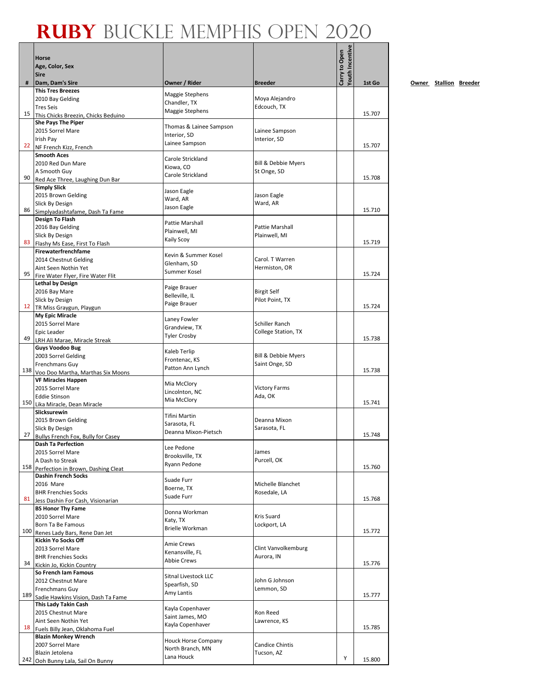|    | <b>Horse</b>                                                     |                                      |                                      | Youth Incentive<br>Carry to Open |        |
|----|------------------------------------------------------------------|--------------------------------------|--------------------------------------|----------------------------------|--------|
|    | Age, Color, Sex                                                  |                                      |                                      |                                  |        |
| #  | <b>Sire</b>                                                      | Owner / Rider                        | <b>Breeder</b>                       |                                  | 1st Go |
|    | Dam, Dam's Sire<br><b>This Tres Breezes</b>                      |                                      |                                      |                                  |        |
|    | 2010 Bay Gelding                                                 | Maggie Stephens<br>Chandler, TX      | Moya Alejandro                       |                                  |        |
| 15 | <b>Tres Seis</b>                                                 | Maggie Stephens                      | Edcouch, TX                          |                                  | 15.707 |
|    | This Chicks Breezin, Chicks Beduino<br><b>She Pays The Piper</b> |                                      |                                      |                                  |        |
|    | 2015 Sorrel Mare                                                 | Thomas & Lainee Sampson              | Lainee Sampson                       |                                  |        |
|    | Irish Pay                                                        | Interior, SD<br>Lainee Sampson       | Interior, SD                         |                                  |        |
|    | 22 NF French Kizz, French                                        |                                      |                                      |                                  | 15.707 |
|    | <b>Smooth Aces</b><br>2010 Red Dun Mare                          | Carole Strickland                    | <b>Bill &amp; Debbie Myers</b>       |                                  |        |
|    | A Smooth Guy                                                     | Kiowa, CO                            | St Onge, SD                          |                                  |        |
| 90 | Red Ace Three, Laughing Dun Bar                                  | Carole Strickland                    |                                      |                                  | 15.708 |
|    | <b>Simply Slick</b>                                              | Jason Eagle                          |                                      |                                  |        |
|    | 2015 Brown Gelding<br>Slick By Design                            | Ward, AR                             | Jason Eagle<br>Ward, AR              |                                  |        |
| 86 | Simplyadashtafame, Dash Ta Fame                                  | Jason Eagle                          |                                      |                                  | 15.710 |
|    | Design To Flash                                                  | Pattie Marshall                      |                                      |                                  |        |
|    | 2016 Bay Gelding                                                 | Plainwell, MI                        | <b>Pattie Marshall</b>               |                                  |        |
| 83 | Slick By Design<br>Flashy Ms Ease, First To Flash                | <b>Kaily Scoy</b>                    | Plainwell, MI                        |                                  | 15.719 |
|    | Firewaterfrenchfame                                              |                                      |                                      |                                  |        |
|    | 2014 Chestnut Gelding                                            | Kevin & Summer Kosel<br>Glenham, SD  | Carol. T Warren                      |                                  |        |
|    | Aint Seen Nothin Yet                                             | Summer Kosel                         | Hermiston, OR                        |                                  | 15.724 |
| 95 | Fire Water Flyer, Fire Water Flit<br><b>Lethal by Design</b>     |                                      |                                      |                                  |        |
|    | 2016 Bay Mare                                                    | Paige Brauer                         | <b>Birgit Self</b>                   |                                  |        |
|    | Slick by Design                                                  | Belleville, IL<br>Paige Brauer       | Pilot Point, TX                      |                                  |        |
|    | 12 TR Miss Graygun, Playgun                                      |                                      |                                      |                                  | 15.724 |
|    | My Epic Miracle                                                  | Laney Fowler                         | Schiller Ranch                       |                                  |        |
|    | 2015 Sorrel Mare<br>Epic Leader                                  | Grandview, TX                        | <b>College Station, TX</b>           |                                  |        |
| 49 | LRH Ali Marae, Miracle Streak                                    | <b>Tyler Crosby</b>                  |                                      |                                  | 15.738 |
|    | <b>Guys Voodoo Bug</b>                                           | Kaleb Terlip                         |                                      |                                  |        |
|    | 2003 Sorrel Gelding                                              | Frontenac, KS                        | Bill & Debbie Myers                  |                                  |        |
|    | Frenchmans Guy<br>138 Voo Doo Martha, Marthas Six Moons          | Patton Ann Lynch                     | Saint Onge, SD                       |                                  | 15.738 |
|    | <b>VF Miracles Happen</b>                                        |                                      |                                      |                                  |        |
|    | 2015 Sorrel Mare                                                 | Mia McClory<br>Lincolnton, NC        | <b>Victory Farms</b>                 |                                  |        |
|    | <b>Eddie Stinson</b>                                             | Mia McClory                          | Ada, OK                              |                                  | 15.741 |
|    | 150 Lika Miracle, Dean Miracle<br>Slicksurewin                   |                                      |                                      |                                  |        |
|    | 2015 Brown Gelding                                               | <b>Tifini Martin</b>                 | Deanna Mixon                         |                                  |        |
|    | Slick By Design                                                  | Sarasota, FL<br>Deanna Mixon-Pietsch | Sarasota, FL                         |                                  |        |
|    | 27 Bullys French Fox, Bully for Casey                            |                                      |                                      |                                  | 15.748 |
|    | <b>Dash Ta Perfection</b><br>2015 Sorrel Mare                    | Lee Pedone                           | James                                |                                  |        |
|    | A Dash to Streak                                                 | Brooksville, TX                      | Purcell, OK                          |                                  |        |
|    | 158 Perfection in Brown, Dashing Cleat                           | Ryann Pedone                         |                                      |                                  | 15.760 |
|    | <b>Dashin French Socks</b><br>2016 Mare                          | Suade Furr                           | Michelle Blanchet                    |                                  |        |
|    | <b>BHR Frenchies Socks</b>                                       | Boerne, TX                           | Rosedale, LA                         |                                  |        |
|    | 81 Jess Dashin For Cash, Visionarian                             | Suade Furr                           |                                      |                                  | 15.768 |
|    | <b>BS Honor Thy Fame</b>                                         | Donna Workman                        |                                      |                                  |        |
|    | 2010 Sorrel Mare                                                 | Katy, TX                             | Kris Suard                           |                                  |        |
|    | Born Ta Be Famous<br>100 Renes Lady Bars, Rene Dan Jet           | <b>Brielle Workman</b>               | Lockport, LA                         |                                  | 15.772 |
|    | <b>Kickin Yo Socks Off</b>                                       |                                      |                                      |                                  |        |
|    | 2013 Sorrel Mare                                                 | <b>Amie Crews</b><br>Kenansville, FL | Clint Vanvolkemburg                  |                                  |        |
| 34 | <b>BHR Frenchies Socks</b>                                       | <b>Abbie Crews</b>                   | Aurora, IN                           |                                  | 15.776 |
|    | Kickin Jo, Kickin Country<br>So French Iam Famous                |                                      |                                      |                                  |        |
|    | 2012 Chestnut Mare                                               | Sitnal Livestock LLC                 | John G Johnson                       |                                  |        |
|    | Frenchmans Guy                                                   | Spearfish, SD<br>Amy Lantis          | Lemmon, SD                           |                                  |        |
|    | 189 Sadie Hawkins Vision, Dash Ta Fame                           |                                      |                                      |                                  | 15.777 |
|    | This Lady Takin Cash<br>2015 Chestnut Mare                       | Kayla Copenhaver                     | Ron Reed                             |                                  |        |
|    | Aint Seen Nothin Yet                                             | Saint James, MO                      | Lawrence, KS                         |                                  |        |
|    | 18 Fuels Billy Jean, Oklahoma Fuel                               | Kayla Copenhaver                     |                                      |                                  | 15.785 |
|    | <b>Blazin Monkey Wrench</b>                                      | <b>Houck Horse Company</b>           |                                      |                                  |        |
|    | 2007 Sorrel Mare<br>Blazin Jetolena                              | North Branch, MN                     | <b>Candice Chintis</b><br>Tucson, AZ |                                  |        |
|    | 242 Ooh Bunny Lala, Sail On Bunny                                | Lana Houck                           |                                      | Υ                                | 15.800 |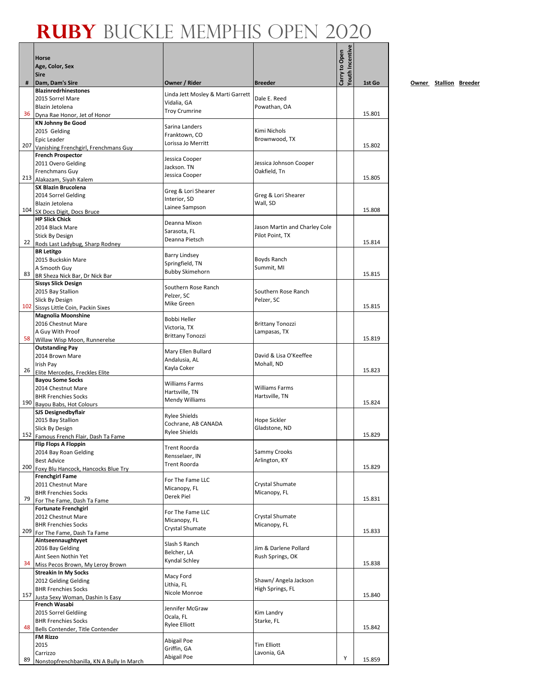|    |                                                                   |                                                  |                                        | Youth Incentive |        |
|----|-------------------------------------------------------------------|--------------------------------------------------|----------------------------------------|-----------------|--------|
|    | <b>Horse</b>                                                      |                                                  |                                        | Carry to Open   |        |
|    | Age, Color, Sex<br><b>Sire</b>                                    |                                                  |                                        |                 |        |
| #  | Dam, Dam's Sire                                                   | Owner / Rider                                    | <b>Breeder</b>                         |                 | 1st Go |
|    | <b>Blazinredrhinestones</b>                                       |                                                  |                                        |                 |        |
|    | 2015 Sorrel Mare                                                  | Linda Jett Mosley & Marti Garrett<br>Vidalia, GA | Dale E. Reed                           |                 |        |
|    | Blazin Jetolena                                                   | <b>Troy Crumrine</b>                             | Powathan, OA                           |                 | 15.801 |
|    | 36 Dyna Rae Honor, Jet of Honor<br><b>KN Johnny Be Good</b>       |                                                  |                                        |                 |        |
|    | 2015 Gelding                                                      | Sarina Landers                                   | Kimi Nichols                           |                 |        |
|    | <b>Epic Leader</b>                                                | Franktown, CO<br>Lorissa Jo Merritt              | Brownwood, TX                          |                 |        |
|    | 207 Vanishing Frenchgirl, Frenchmans Guy                          |                                                  |                                        |                 | 15.802 |
|    | <b>French Prospector</b>                                          | Jessica Cooper                                   |                                        |                 |        |
|    | 2011 Overo Gelding<br>Frenchmans Guy                              | Jackson. TN                                      | Jessica Johnson Cooper<br>Oakfield, Tn |                 |        |
|    | 213 Alakazam, Siyah Kalem                                         | Jessica Cooper                                   |                                        |                 | 15.805 |
|    | <b>SX Blazin Brucolena</b>                                        | Greg & Lori Shearer                              |                                        |                 |        |
|    | 2014 Sorrel Gelding                                               | Interior, SD                                     | Greg & Lori Shearer                    |                 |        |
|    | Blazin Jetolena                                                   | Lainee Sampson                                   | Wall, SD                               |                 | 15.808 |
|    | 104 SX Docs Digit, Docs Bruce<br><b>HP Slick Chick</b>            |                                                  |                                        |                 |        |
|    | 2014 Black Mare                                                   | Deanna Mixon                                     | Jason Martin and Charley Cole          |                 |        |
|    | <b>Stick By Design</b>                                            | Sarasota, FL                                     | Pilot Point, TX                        |                 |        |
|    | 22 Rods Last Ladybug, Sharp Rodney                                | Deanna Pietsch                                   |                                        |                 | 15.814 |
|    | <b>BR</b> Letitgo                                                 | <b>Barry Lindsey</b>                             |                                        |                 |        |
|    | 2015 Buckskin Mare                                                | Springfield, TN                                  | Boyds Ranch<br>Summit, MI              |                 |        |
| 83 | A Smooth Guy<br>BR Sheza Nick Bar, Dr Nick Bar                    | <b>Bubby Skimehorn</b>                           |                                        |                 | 15.815 |
|    | <b>Sissys Slick Design</b>                                        | Southern Rose Ranch                              |                                        |                 |        |
|    | 2015 Bay Stallion                                                 | Pelzer, SC                                       | Southern Rose Ranch                    |                 |        |
|    | Slick By Design                                                   | Mike Green                                       | Pelzer, SC                             |                 |        |
|    | 102 Sissys Little Coin, Packin Sixes                              |                                                  |                                        |                 | 15.815 |
|    | <b>Magnolia Moonshine</b><br>2016 Chestnut Mare                   | Bobbi Heller                                     | <b>Brittany Tonozzi</b>                |                 |        |
|    | A Guy With Proof                                                  | Victoria, TX                                     | Lampasas, TX                           |                 |        |
|    | 58 Willaw Wisp Moon, Runnerelse                                   | <b>Brittany Tonozzi</b>                          |                                        |                 | 15.819 |
|    | <b>Outstanding Pay</b>                                            | Mary Ellen Bullard                               |                                        |                 |        |
|    | 2014 Brown Mare                                                   | Andalusia, AL                                    | David & Lisa O'Keeffee                 |                 |        |
|    | Irish Pay<br>26 Elite Mercedes, Freckles Elite                    | Kayla Coker                                      | Mohall, ND                             |                 | 15.823 |
|    | <b>Bayou Some Socks</b>                                           |                                                  |                                        |                 |        |
|    | 2014 Chestnut Mare                                                | Williams Farms                                   | Williams Farms                         |                 |        |
|    | <b>BHR Frenchies Socks</b>                                        | Hartsville, TN<br>Mendy Williams                 | Hartsville, TN                         |                 |        |
|    | 190 Bayou Babs, Hot Colours                                       |                                                  |                                        |                 | 15.824 |
|    | <b>SJS Designedbyflair</b><br>2015 Bay Stallion                   | <b>Rylee Shields</b>                             | Hope Sickler                           |                 |        |
|    | Slick By Design                                                   | Cochrane, AB CANADA                              | Gladstone, ND                          |                 |        |
|    | 152 Famous French Flair, Dash Ta Fame                             | <b>Rylee Shields</b>                             |                                        |                 | 15.829 |
|    | <b>Flip Flops A Floppin</b>                                       | Trent Roorda                                     |                                        |                 |        |
|    | 2014 Bay Roan Gelding                                             | Rensselaer, IN                                   | Sammy Crooks                           |                 |        |
|    | <b>Best Advice</b>                                                | Trent Roorda                                     | Arlington, KY                          |                 | 15.829 |
|    | 200 Foxy Blu Hancock, Hancocks Blue Try<br><b>Frenchgirl Fame</b> |                                                  |                                        |                 |        |
|    | 2011 Chestnut Mare                                                | For The Fame LLC                                 | Crystal Shumate                        |                 |        |
|    | <b>BHR Frenchies Socks</b>                                        | Micanopy, FL<br>Derek Piel                       | Micanopy, FL                           |                 |        |
| 79 | For The Fame, Dash Ta Fame                                        |                                                  |                                        |                 | 15.831 |
|    | <b>Fortunate Frenchgirl</b><br>2012 Chestnut Mare                 | For The Fame LLC                                 | Crystal Shumate                        |                 |        |
|    | <b>BHR Frenchies Socks</b>                                        | Micanopy, FL                                     | Micanopy, FL                           |                 |        |
|    | 209 For The Fame, Dash Ta Fame                                    | Crystal Shumate                                  |                                        |                 | 15.833 |
|    | Aintseennaughtyyet                                                | Slash S Ranch                                    |                                        |                 |        |
|    | 2016 Bay Gelding                                                  | Belcher, LA                                      | Jim & Darlene Pollard                  |                 |        |
| 34 | Aint Seen Nothin Yet                                              | Kyndal Schley                                    | Rush Springs, OK                       |                 | 15.838 |
|    | Miss Pecos Brown, My Leroy Brown<br><b>Streakin In My Socks</b>   |                                                  |                                        |                 |        |
|    | 2012 Gelding Gelding                                              | Macy Ford                                        | Shawn/ Angela Jackson                  |                 |        |
|    | <b>BHR Frenchies Socks</b>                                        | Lithia, FL<br>Nicole Monroe                      | High Springs, FL                       |                 |        |
|    | 157 Justa Sexy Woman, Dashin Is Easy                              |                                                  |                                        |                 | 15.840 |
|    | French Wasabi<br>2015 Sorrel Geldiing                             | Jennifer McGraw                                  | Kim Landry                             |                 |        |
|    | <b>BHR Frenchies Socks</b>                                        | Ocala, FL                                        | Starke, FL                             |                 |        |
| 48 | Bells Contender, Title Contender                                  | <b>Rylee Elliott</b>                             |                                        |                 | 15.842 |
|    | <b>FM Rizzo</b>                                                   | Abigail Poe                                      |                                        |                 |        |
|    | 2015                                                              | Griffin, GA                                      | Tim Elliott                            |                 |        |
| 89 | Carrizzo                                                          | Abigail Poe                                      | Lavonia, GA                            | Υ               | 15.859 |
|    | Nonstopfrenchbanilla, KN A Bully In March                         |                                                  |                                        |                 |        |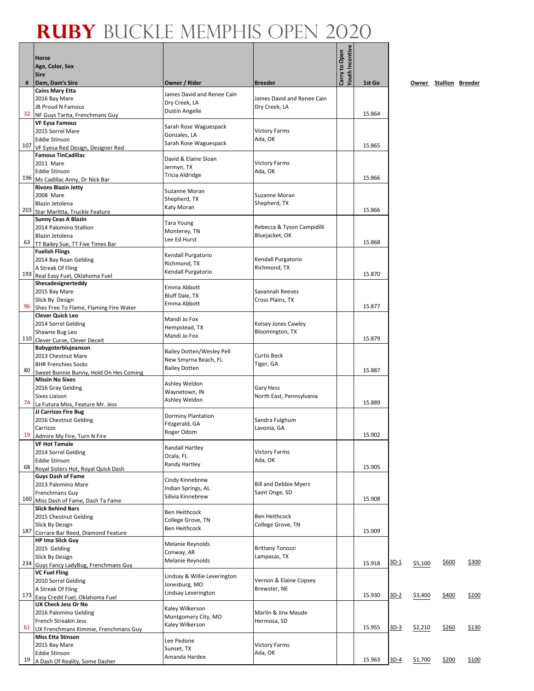|     | <b>Horse</b>                                                 |                                           |                                             | Youth Incentive<br>Carry to Open |        |        |         |                        |              |
|-----|--------------------------------------------------------------|-------------------------------------------|---------------------------------------------|----------------------------------|--------|--------|---------|------------------------|--------------|
|     | Age, Color, Sex<br><b>Sire</b>                               |                                           |                                             |                                  |        |        |         |                        |              |
| #   | Dam, Dam's Sire                                              | Owner / Rider                             | <b>Breeder</b>                              |                                  | 1st Go |        |         | Owner Stallion Breeder |              |
|     | <b>Cains Mary Etta</b>                                       | James David and Renee Cain                |                                             |                                  |        |        |         |                        |              |
|     | 2016 Bay Mare<br>JB Proud N Famous                           | Dry Creek, LA                             | James David and Renee Cain<br>Dry Creek, LA |                                  |        |        |         |                        |              |
| 32  | NF Guys Tarita, Frenchmans Guy                               | Dustin Angelle                            |                                             |                                  | 15.864 |        |         |                        |              |
|     | <b>VF Eysa Famous</b>                                        | Sarah Rose Waguespack                     |                                             |                                  |        |        |         |                        |              |
|     | 2015 Sorrel Mare<br><b>Eddie Stinson</b>                     | Gonzales, LA                              | <b>Victory Farms</b><br>Ada, OK             |                                  |        |        |         |                        |              |
| 107 | VF Eyesa Red Design, Designer Red                            | Sarah Rose Waguespack                     |                                             |                                  | 15.865 |        |         |                        |              |
|     | <b>Famous TinCadillac</b>                                    | David & Elaine Sloan                      |                                             |                                  |        |        |         |                        |              |
|     | 2011 Mare                                                    | Jermyn, TX                                | <b>Victory Farms</b>                        |                                  |        |        |         |                        |              |
| 196 | <b>Eddie Stinson</b><br>Ms Cadillac Anny, Dr Nick Bar        | <b>Tricia Aldridge</b>                    | Ada, OK                                     |                                  | 15.866 |        |         |                        |              |
|     | <b>Rivons Blazin Jetty</b>                                   | Suzanne Moran                             |                                             |                                  |        |        |         |                        |              |
|     | 2008 Mare                                                    | Shepherd, TX                              | Suzanne Moran                               |                                  |        |        |         |                        |              |
| 203 | Blazin Jetolena<br>Star Marlitta, Truckle Feature            | Katy Moran                                | Shepherd, TX                                |                                  | 15.866 |        |         |                        |              |
|     | <b>Sunny Ceas A Blazin</b>                                   |                                           |                                             |                                  |        |        |         |                        |              |
|     | 2014 Palomino Stallion                                       | <b>Tara Young</b><br>Monterey, TN         | Rebecca & Tyson Campidilli                  |                                  |        |        |         |                        |              |
| 63  | Blazin Jetolena                                              | Lee Ed Hurst                              | Bluejacket, OK                              |                                  | 15.868 |        |         |                        |              |
|     | TT Bailey Sue, TT Five Times Bar<br><b>Fuelish Flings</b>    |                                           |                                             |                                  |        |        |         |                        |              |
|     | 2014 Bay Roan Gelding                                        | Kendall Purgatorio<br>Richmond, TX        | Kendall Purgatorio                          |                                  |        |        |         |                        |              |
| 193 | A Streak Of Fling                                            | Kendall Purgatorio                        | Richmond, TX                                |                                  | 15.870 |        |         |                        |              |
|     | Real Easy Fuel, Oklahoma Fuel<br>Shesadesignerteddy          |                                           |                                             |                                  |        |        |         |                        |              |
|     | 2015 Bay Mare                                                | Emma Abbott                               | Savannah Reeves                             |                                  |        |        |         |                        |              |
|     | Slick By Design                                              | Bluff Dale, TX<br>Emma Abbott             | Cross Plains, TX                            |                                  |        |        |         |                        |              |
| 96  | Shes Free To Flame, Flaming Fire Water                       |                                           |                                             |                                  | 15.877 |        |         |                        |              |
|     | <b>Clever Quick Leo</b><br>2014 Sorrel Gelding               | Mandi Jo Fox                              | Kelsey Jones Cawley                         |                                  |        |        |         |                        |              |
|     | Shawne Bug Leo                                               | Hempstead, TX                             | Bloomington, TX                             |                                  |        |        |         |                        |              |
|     | 110 Clever Curve, Clever Deceit                              | Mandi Jo Fox                              |                                             |                                  | 15.879 |        |         |                        |              |
|     | Babygoterblujeanson                                          | <b>Bailey Dotten/Wesley Pell</b>          | <b>Curtis Beck</b>                          |                                  |        |        |         |                        |              |
|     | 2013 Chestnut Mare<br><b>BHR Frenchies Socks</b>             | New Smyrna Beach, FL                      | Tiger, GA                                   |                                  |        |        |         |                        |              |
| 80  | Sweet Bonnie Bunny, Hold On Hes Coming                       | <b>Bailey Dotten</b>                      |                                             |                                  | 15.887 |        |         |                        |              |
|     | <b>Missin No Sixes</b>                                       | Ashley Weldon                             |                                             |                                  |        |        |         |                        |              |
|     | 2016 Gray Gelding<br><b>Sixes Liaison</b>                    | Waynetown, IN                             | Gary Hess<br>North East, Pennsylvania       |                                  |        |        |         |                        |              |
| 74  | La Futura Miss, Feature Mr. Jess                             | Ashley Weldon                             |                                             |                                  | 15.889 |        |         |                        |              |
|     | JJ Carrizzo Fire Bug                                         | Dorminy Plantation                        |                                             |                                  |        |        |         |                        |              |
|     | 2016 Chestnut Gelding<br>Carrizzo                            | Fitzgerald, GA                            | Sandra Fulghum<br>Lavonia, GA               |                                  |        |        |         |                        |              |
|     | 19 Admire My Fire, Turn N Fire                               | Roger Odom                                |                                             |                                  | 15.902 |        |         |                        |              |
|     | <b>VF Hot Tamale</b>                                         | <b>Randall Hartley</b>                    |                                             |                                  |        |        |         |                        |              |
|     | 2014 Sorrel Gelding                                          | Ocala, FL                                 | Victory Farms                               |                                  |        |        |         |                        |              |
| 68  | <b>Eddie Stinson</b><br>Royal Sisters Hot, Royal Quick Dash  | Randy Hartley                             | Ada, OK                                     |                                  | 15.905 |        |         |                        |              |
|     | <b>Guys Dash of Fame</b>                                     | Cindy Kinnebrew                           |                                             |                                  |        |        |         |                        |              |
|     | 2013 Palomino Mare                                           | Indian Springs, AL                        | <b>Bill and Debbie Myers</b>                |                                  |        |        |         |                        |              |
|     | Frenchmans Guy<br>160 Miss Dash of Fame, Dash Ta Fame        | Silivia Kinnebrew                         | Saint Onge, SD                              |                                  | 15.908 |        |         |                        |              |
|     | <b>Slick Behind Bars</b>                                     |                                           |                                             |                                  |        |        |         |                        |              |
|     | 2015 Chestnut Gelding                                        | <b>Ben Heithcock</b><br>College Grove, TN | <b>Ben Heithcock</b>                        |                                  |        |        |         |                        |              |
|     | Slick By Design                                              | Ben Heithcock                             | College Grove, TN                           |                                  | 15.909 |        |         |                        |              |
| 187 | Corrare Bar Reed, Diamond Feature<br><b>HP Ima Slick Guy</b> |                                           |                                             |                                  |        |        |         |                        |              |
|     | 2015 Gelding                                                 | Melanie Reynolds                          | <b>Brittany Tonozzi</b>                     |                                  |        |        |         |                        |              |
|     | Slick By Design                                              | Conway, AR<br>Melanie Reynolds            | Lampasas, TX                                |                                  |        |        |         |                        |              |
|     | 234 Guys Fancy LadyBug, Frenchmans Guy                       |                                           |                                             |                                  | 15.918 | 3D-1   | \$5,100 | \$600                  | <u>\$300</u> |
|     | <b>VC Fuel Fling</b><br>2010 Sorrel Gelding                  | Lindsay & Willie Leverington              | Vernon & Elaine Copsey                      |                                  |        |        |         |                        |              |
|     | A Streak Of Fling                                            | Jonesburg, MO                             | Brewster, NE                                |                                  |        |        |         |                        |              |
| 173 | Easy Credit Fuel, Oklahoma Fuel                              | Lindsay Leverington                       |                                             |                                  | 15.930 | $3D-2$ | \$3,400 | \$400                  | \$200        |
|     | <b>UX Check Jess Or No</b>                                   | Kaley Wilkerson                           |                                             |                                  |        |        |         |                        |              |
|     | 2016 Palomino Gelding<br>French Streakin Jess                | Montgomery City, MO                       | Marlin & Jinx Maude<br>Hermosa, SD          |                                  |        |        |         |                        |              |
| 61  | UX Frenchmans Kimmie, Frenchmans Guy                         | Kaley Wilkerson                           |                                             |                                  | 15.955 | 3D-3   | \$2,210 | \$260                  | \$130        |
|     | <b>Miss Etta Stinson</b>                                     | Lee Pedone                                |                                             |                                  |        |        |         |                        |              |
|     | 2015 Bay Mare                                                | Sunset, TX                                | <b>Victory Farms</b><br>Ada, OK             |                                  |        |        |         |                        |              |
| 19  | <b>Eddie Stinson</b><br>A Dash Of Reality, Some Dasher       | Amanda Hardee                             |                                             |                                  | 15.963 | $3D-4$ | \$1,700 | \$200                  | \$100        |
|     |                                                              |                                           |                                             |                                  |        |        |         |                        |              |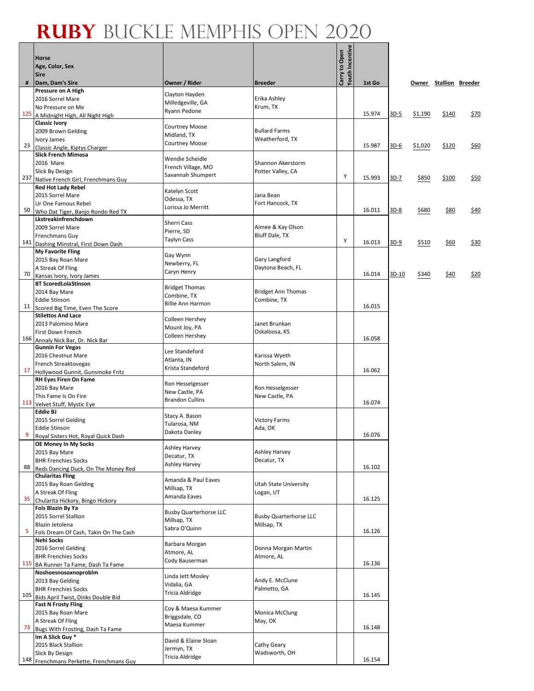#### **Ruby** Buckle Memphis Open 2020 ┱

Г

 $\overline{\phantom{a}}$ 

|     | Horse<br>Age, Color, Sex<br><b>Sire</b>                          |                                              |                                        | <b>Youth Incentive</b><br>Carry to Open |        |        |         |                        |      |
|-----|------------------------------------------------------------------|----------------------------------------------|----------------------------------------|-----------------------------------------|--------|--------|---------|------------------------|------|
| #   | Dam, Dam's Sire                                                  | Owner / Rider                                | <b>Breeder</b>                         |                                         | 1st Go |        |         | Owner Stallion Breeder |      |
|     | Pressure on A High                                               | Clayton Hayden                               |                                        |                                         |        |        |         |                        |      |
|     | 2016 Sorrel Mare                                                 | Milledgeville, GA                            | Erika Ashley                           |                                         |        |        |         |                        |      |
| 125 | No Pressure on Me<br>A Midnight High, All Night High             | Ryann Pedone                                 | Krum, TX                               |                                         | 15.974 | $3D-5$ | \$1,190 | \$140                  | \$70 |
|     | <b>Classic Ivory</b>                                             |                                              |                                        |                                         |        |        |         |                        |      |
|     | 2009 Brown Gelding                                               | <b>Courtney Moose</b>                        | <b>Bullard Farms</b>                   |                                         |        |        |         |                        |      |
|     | Ivory James                                                      | Midland, TX<br><b>Courtney Moose</b>         | Weatherford, TX                        |                                         |        |        |         |                        |      |
| 23  | Classic Angle, Kiptys Charger                                    |                                              |                                        |                                         | 15.987 | 3D-6   | \$1,020 | \$120                  | \$60 |
|     | <b>Slick French Mimosa</b>                                       | Wendie Scheidle                              |                                        |                                         |        |        |         |                        |      |
|     | 2016 Mare<br>Slick By Design                                     | French Village, MO                           | Shannon Akerstorm<br>Potter Valley, CA |                                         |        |        |         |                        |      |
| 237 | Native French Girl, Frenchmans Guy                               | Savannah Shumpert                            |                                        | Υ                                       | 15.993 | 3D-7   | \$850   | \$100                  | \$50 |
|     | <b>Red Hot Lady Rebel</b>                                        |                                              |                                        |                                         |        |        |         |                        |      |
|     | 2015 Sorrel Mare                                                 | Katelyn Scott<br>Odessa, TX                  | Jana Bean                              |                                         |        |        |         |                        |      |
|     | Ur One Famous Rebel                                              | Lorissa Jo Merritt                           | Fort Hancock, TX                       |                                         |        |        |         |                        |      |
| 50  | Who Dat Tiger, Banjo Rondo Red TX<br>Lkstreakinfrenchdown        |                                              |                                        |                                         | 16.011 | 3D-8   | \$680   | \$80                   | \$40 |
|     | 2009 Sorrel Mare                                                 | <b>Sherri Cass</b>                           | Aimee & Kay Olson                      |                                         |        |        |         |                        |      |
|     | Frenchmans Guy                                                   | Pierre, SD                                   | Bluff Dale, TX                         |                                         |        |        |         |                        |      |
| 141 | Dashing Minstral, First Down Dash                                | Taylyn Cass                                  |                                        | Υ                                       | 16.013 | $3D-9$ | \$510   | \$60                   | \$30 |
|     | <b>My Favorite Fling</b>                                         | Gay Wynn                                     |                                        |                                         |        |        |         |                        |      |
|     | 2015 Bay Roan Mare                                               | Newberry, FL                                 | Gary Langford                          |                                         |        |        |         |                        |      |
| 70  | A Streak Of Fling                                                | Caryn Henry                                  | Daytona Beach, FL                      |                                         | 16.014 | 3D-10  | \$340   | \$40                   | \$20 |
|     | Kansas Ivory, Ivory James<br><b>BT ScoredLolaStinson</b>         |                                              |                                        |                                         |        |        |         |                        |      |
|     | 2014 Bay Mare                                                    | <b>Bridget Thomas</b>                        | <b>Bridget Ann Thomas</b>              |                                         |        |        |         |                        |      |
|     | <b>Eddie Stinson</b>                                             | Combine, TX                                  | Combine, TX                            |                                         |        |        |         |                        |      |
| 11  | Scored Big Time, Even The Score                                  | <b>Billie Ann Harmon</b>                     |                                        |                                         | 16.015 |        |         |                        |      |
|     | <b>Stilettos And Lace</b>                                        | Colleen Hershey                              |                                        |                                         |        |        |         |                        |      |
|     | 2013 Palomino Mare                                               | Mount Joy, PA                                | Janet Brunkan                          |                                         |        |        |         |                        |      |
| 166 | First Down French<br>Annaly Nick Bar, Dr. Nick Bar               | Colleen Hershey                              | Oskaloosa, KS                          |                                         | 16.058 |        |         |                        |      |
|     | <b>Gunnin For Vegas</b>                                          |                                              |                                        |                                         |        |        |         |                        |      |
|     | 2016 Chestnut Mare                                               | Lee Standeford                               | Karissa Wyeth                          |                                         |        |        |         |                        |      |
|     | French Streaktovegas                                             | Atlanta, IN<br>Krista Standeford             | North Salem, IN                        |                                         |        |        |         |                        |      |
| 17  | Hollywood Gunnit, Gunsmoke Fritz                                 |                                              |                                        |                                         | 16.062 |        |         |                        |      |
|     | RH Eyes Firen On Fame                                            | Ron Hesselgesser                             |                                        |                                         |        |        |         |                        |      |
|     | 2016 Bay Mare<br>This Fame Is On Fire                            | New Castle, PA                               | Ron Hesselgesser<br>New Castle, PA     |                                         |        |        |         |                        |      |
|     | 113 Velvet Stuff, Mystic Eye                                     | <b>Brandon Cullins</b>                       |                                        |                                         | 16.074 |        |         |                        |      |
|     | <b>Eddie BJ</b>                                                  | Stacy A. Bason                               |                                        |                                         |        |        |         |                        |      |
|     | 2015 Sorrel Gelding                                              | Tularosa, NM                                 | <b>Victory Farms</b>                   |                                         |        |        |         |                        |      |
| 9   | <b>Eddie Stinson</b>                                             | Dakota Danley                                | Ada, OK                                |                                         | 16.076 |        |         |                        |      |
|     | Royal Sisters Hot, Royal Quick Dash<br>OE Money In My Socks      |                                              |                                        |                                         |        |        |         |                        |      |
|     | 2015 Bay Mare                                                    | Ashley Harvey                                | Ashley Harvey                          |                                         |        |        |         |                        |      |
|     | <b>BHR Frenchies Socks</b>                                       | Decatur, TX                                  | Decatur, TX                            |                                         |        |        |         |                        |      |
| 88  | Reds Dancing Duck, On The Money Red                              | Ashley Harvey                                |                                        |                                         | 16.102 |        |         |                        |      |
|     | <b>Chularitas Fling</b>                                          | Amanda & Paul Eaves                          |                                        |                                         |        |        |         |                        |      |
|     | 2015 Bay Roan Gelding<br>A Streak Of Fling                       | Millsap, TX                                  | Utah State University<br>Logan, UT     |                                         |        |        |         |                        |      |
| 35  | Chularita Hickory, Bingo Hickory                                 | Amanda Eaves                                 |                                        |                                         | 16.125 |        |         |                        |      |
|     | Fols Blazin By Ya                                                |                                              |                                        |                                         |        |        |         |                        |      |
|     | 2015 Sorrel Stallion                                             | <b>Busby Quarterhorse LLC</b><br>Millsap, TX | <b>Busby Quarterhorse LLC</b>          |                                         |        |        |         |                        |      |
|     | Blazin Jetolena                                                  | Sabra O'Quinn                                | Millsap, TX                            |                                         |        |        |         |                        |      |
| 5   | Fols Dream Of Cash, Takin On The Cash<br><b>Nehi Socks</b>       |                                              |                                        |                                         | 16.126 |        |         |                        |      |
|     | 2016 Sorrel Gelding                                              | Barbara Morgan                               | Donna Morgan Martin                    |                                         |        |        |         |                        |      |
|     | <b>BHR Frenchies Socks</b>                                       | Atmore, AL                                   | Atmore, AL                             |                                         |        |        |         |                        |      |
|     | 115 BA Runner Ta Fame, Dash Ta Fame                              | Cody Bauserman                               |                                        |                                         | 16.136 |        |         |                        |      |
|     | Noshoesnosoxnoproblm                                             | Linda Jett Mosley                            |                                        |                                         |        |        |         |                        |      |
|     | 2013 Bay Gelding                                                 | Vidalia, GA                                  | Andy E. McClune                        |                                         |        |        |         |                        |      |
| 105 | <b>BHR Frenchies Socks</b><br>Bids April Twist, Dinks Double Bid | Tricia Aldridge                              | Palmetto, GA                           |                                         | 16.145 |        |         |                        |      |
|     | <b>Fast N Frosty Fling</b>                                       |                                              |                                        |                                         |        |        |         |                        |      |
|     | 2015 Bay Roan Mare                                               | Coy & Maesa Kummer                           | <b>Monica McClung</b>                  |                                         |        |        |         |                        |      |
|     | A Streak Of Fling                                                | Briggsdale, CO<br>Maesa Kummer               | May, OK                                |                                         |        |        |         |                        |      |
| 73  | Bugs With Frosting, Dash Ta Fame                                 |                                              |                                        |                                         | 16.148 |        |         |                        |      |
|     | Im A Slick Guy *                                                 | David & Elaine Sloan                         |                                        |                                         |        |        |         |                        |      |
|     | 2015 Black Stallion<br>Slick By Design                           | Jermyn, TX                                   | Cathy Geary<br>Wadsworth, OH           |                                         |        |        |         |                        |      |
|     | 148 Frenchmans Perkette, Frenchmans Guy                          | Tricia Aldridge                              |                                        |                                         | 16.154 |        |         |                        |      |
|     |                                                                  |                                              |                                        |                                         |        |        |         |                        |      |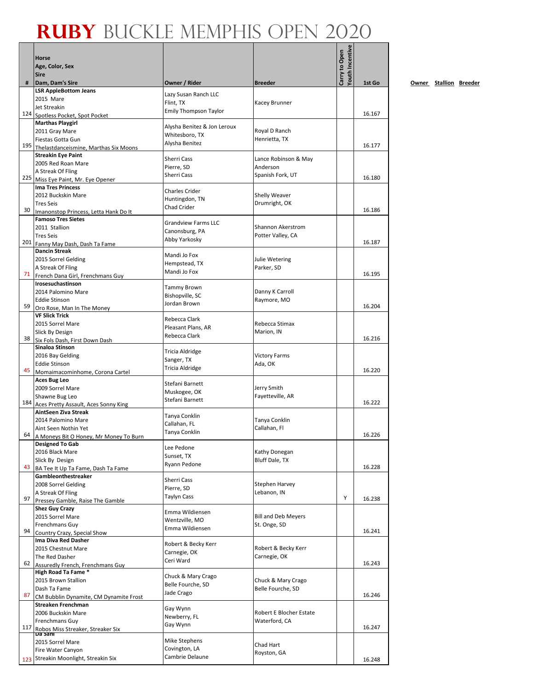|     | Horse<br>Age, Color, Sex<br><b>Sire</b>                           |                                  |                                        | <b>/outh Incentive</b><br>Carry to Open |        |
|-----|-------------------------------------------------------------------|----------------------------------|----------------------------------------|-----------------------------------------|--------|
| #   | Dam, Dam's Sire<br><b>LSR AppleBottom Jeans</b>                   | Owner / Rider                    | <b>Breeder</b>                         |                                         | 1st Go |
|     | 2015 Mare                                                         | Lazy Susan Ranch LLC             |                                        |                                         |        |
|     | Jet Streakin                                                      | Flint, TX                        | Kacey Brunner                          |                                         |        |
|     | 124 Spotless Pocket, Spot Pocket                                  | <b>Emily Thompson Taylor</b>     |                                        |                                         | 16.167 |
|     | <b>Marthas Playgirl</b>                                           | Alysha Benitez & Jon Leroux      |                                        |                                         |        |
|     | 2011 Gray Mare<br>Fiestas Gotta Gun                               | Whitesboro, TX                   | Royal D Ranch<br>Henrietta, TX         |                                         |        |
|     | 195 Thelastdanceismine, Marthas Six Moons                         | Alysha Benitez                   |                                        |                                         | 16.177 |
|     | <b>Streakin Eye Paint</b>                                         | <b>Sherri Cass</b>               | Lance Robinson & May                   |                                         |        |
|     | 2005 Red Roan Mare                                                | Pierre, SD                       | Anderson                               |                                         |        |
|     | A Streak Of Fling                                                 | Sherri Cass                      | Spanish Fork, UT                       |                                         | 16.180 |
|     | 225 Miss Eye Paint, Mr. Eye Opener<br><b>Ima Tres Princess</b>    |                                  |                                        |                                         |        |
|     | 2012 Buckskin Mare                                                | Charles Crider                   | Shelly Weaver                          |                                         |        |
|     | <b>Tres Seis</b>                                                  | Huntingdon, TN                   | Drumright, OK                          |                                         |        |
| 30  | Imanonstop Princess, Letta Hank Do It                             | Chad Crider                      |                                        |                                         | 16.186 |
|     | <b>Famoso Tres Sietes</b>                                         | <b>Grandview Farms LLC</b>       |                                        |                                         |        |
|     | 2011 Stallion<br><b>Tres Seis</b>                                 | Canonsburg, PA                   | Shannon Akerstrom<br>Potter Valley, CA |                                         |        |
|     | 201 Fanny May Dash, Dash Ta Fame                                  | Abby Yarkosky                    |                                        |                                         | 16.187 |
|     | <b>Dancin Streak</b>                                              |                                  |                                        |                                         |        |
|     | 2015 Sorrel Gelding                                               | Mandi Jo Fox<br>Hempstead, TX    | Julie Wetering                         |                                         |        |
|     | A Streak Of Fling                                                 | Mandi Jo Fox                     | Parker, SD                             |                                         | 16.195 |
|     | 71 French Dana Girl, Frenchmans Guy<br>Irosesuchastinson          |                                  |                                        |                                         |        |
|     | 2014 Palomino Mare                                                | Tammy Brown                      | Danny K Carroll                        |                                         |        |
|     | <b>Eddie Stinson</b>                                              | Bishopville, SC                  | Raymore, MO                            |                                         |        |
| 59  | Oro Rose, Man In The Money                                        | Jordan Brown                     |                                        |                                         | 16.204 |
|     | <b>VF Slick Trick</b>                                             | Rebecca Clark                    |                                        |                                         |        |
|     | 2015 Sorrel Mare                                                  | Pleasant Plans, AR               | Rebecca Stimax                         |                                         |        |
|     | Slick By Design<br>38 Six Fols Dash, First Down Dash              | Rebecca Clark                    | Marion, IN                             |                                         | 16.216 |
|     | Sinaloa Stinson                                                   |                                  |                                        |                                         |        |
|     | 2016 Bay Gelding                                                  | Tricia Aldridge                  | <b>Victory Farms</b>                   |                                         |        |
|     | <b>Eddie Stinson</b>                                              | Sanger, TX<br>Tricia Aldridge    | Ada, OK                                |                                         |        |
| 45  | Momaimacominhome, Corona Cartel                                   |                                  |                                        |                                         | 16.220 |
|     | Aces Bug Leo<br>2009 Sorrel Mare                                  | Stefani Barnett                  | Jerry Smith                            |                                         |        |
|     | Shawne Bug Leo                                                    | Muskogee, OK                     | Fayetteville, AR                       |                                         |        |
|     | 184 Aces Pretty Assault, Aces Sonny King                          | Stefani Barnett                  |                                        |                                         | 16.222 |
|     | AintSeen Ziva Streak                                              | Tanya Conklin                    |                                        |                                         |        |
|     | 2014 Palomino Mare                                                | Callahan, FL                     | Tanya Conklin                          |                                         |        |
|     | Aint Seen Nothin Yet<br>64 A Moneys Bit O Honey, Mr Money To Burn | Tanya Conklin                    | Callahan, Fl                           |                                         | 16.226 |
|     | <b>Designed To Gab</b>                                            |                                  |                                        |                                         |        |
|     | 2016 Black Mare                                                   | Lee Pedone                       | Kathy Donegan                          |                                         |        |
|     | Slick By Design                                                   | Sunset, TX<br>Ryann Pedone       | <b>Bluff Dale, TX</b>                  |                                         |        |
| 43  | BA Tee It Up Ta Fame, Dash Ta Fame                                |                                  |                                        |                                         | 16.228 |
|     | Gambleonthestreaker<br>2008 Sorrel Gelding                        | Sherri Cass                      | Stephen Harvey                         |                                         |        |
|     | A Streak Of Fling                                                 | Pierre, SD                       | Lebanon, IN                            |                                         |        |
| 97  | Pressey Gamble, Raise The Gamble                                  | Taylyn Cass                      |                                        | Υ                                       | 16.238 |
|     | <b>Shez Guy Crazy</b>                                             | Emma Wildiensen                  |                                        |                                         |        |
|     | 2015 Sorrel Mare                                                  | Wentzville, MO                   | <b>Bill and Deb Meyers</b>             |                                         |        |
| 94  | Frenchmans Guy                                                    | Emma Wildiensen                  | St. Onge, SD                           |                                         | 16.241 |
|     | Country Crazy, Special Show<br>Ima Diva Red Dasher                |                                  |                                        |                                         |        |
|     | 2015 Chestnut Mare                                                | Robert & Becky Kerr              | Robert & Becky Kerr                    |                                         |        |
|     | The Red Dasher                                                    | Carnegie, OK<br>Ceri Ward        | Carnegie, OK                           |                                         |        |
| 62  | Assuredly French, Frenchmans Guy                                  |                                  |                                        |                                         | 16.243 |
|     | High Road Ta Fame *<br>2015 Brown Stallion                        | Chuck & Mary Crago               | Chuck & Mary Crago                     |                                         |        |
|     | Dash Ta Fame                                                      | Belle Fourche, SD                | Belle Fourche, SD                      |                                         |        |
| 87  | CM Bubblin Dynamite, CM Dynamite Frost                            | Jade Crago                       |                                        |                                         | 16.246 |
|     | Streaken Frenchman                                                | Gay Wynn                         |                                        |                                         |        |
|     | 2006 Buckskin Mare                                                | Newberry, FL                     | Robert E Blocher Estate                |                                         |        |
| 117 | Frenchmans Guy                                                    | Gay Wynn                         | Waterford, CA                          |                                         | 16.247 |
|     | Robos Miss Streaker, Streaker Six                                 |                                  |                                        |                                         |        |
|     | 2015 Sorrel Mare                                                  | Mike Stephens                    | Chad Hart                              |                                         |        |
|     | Fire Water Canyon                                                 | Covington, LA<br>Cambrie Delaune | Royston, GA                            |                                         |        |
|     | 123 Streakin Moonlight, Streakin Six                              |                                  |                                        |                                         | 16.248 |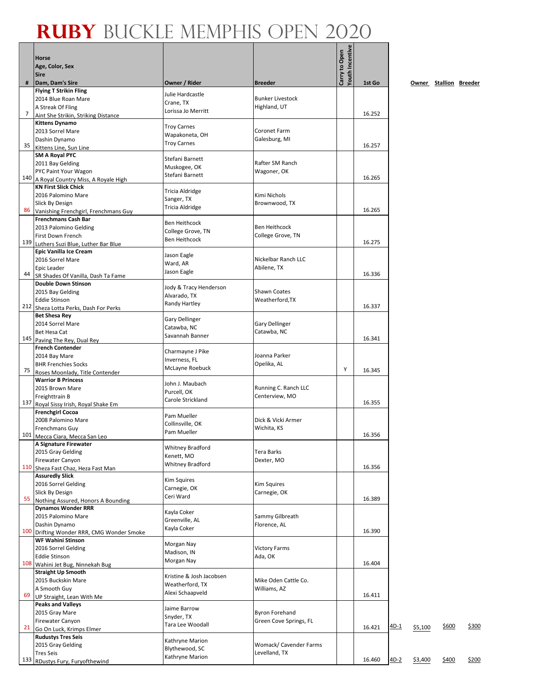#### **Ruby** Buckle Memphis Open 2020 ┱

Г

|                 | <b>Horse</b>                                                      |                                       |                                         | Youth Incentive<br>Carry to Open |        |        |         |                        |       |
|-----------------|-------------------------------------------------------------------|---------------------------------------|-----------------------------------------|----------------------------------|--------|--------|---------|------------------------|-------|
|                 | Age, Color, Sex<br><b>Sire</b>                                    |                                       |                                         |                                  |        |        |         |                        |       |
| #               | Dam, Dam's Sire                                                   | Owner / Rider                         | <b>Breeder</b>                          |                                  | 1st Go |        |         | Owner Stallion Breeder |       |
|                 | <b>Flying T Strikin Fling</b>                                     | Julie Hardcastle                      |                                         |                                  |        |        |         |                        |       |
|                 | 2014 Blue Roan Mare<br>A Streak Of Fling                          | Crane, TX                             | <b>Bunker Livestock</b><br>Highland, UT |                                  |        |        |         |                        |       |
| 7               | Aint She Strikin, Striking Distance                               | Lorissa Jo Merritt                    |                                         |                                  | 16.252 |        |         |                        |       |
|                 | <b>Kittens Dynamo</b>                                             | <b>Troy Carnes</b>                    |                                         |                                  |        |        |         |                        |       |
|                 | 2013 Sorrel Mare<br>Dashin Dynamo                                 | Wapakoneta, OH                        | Coronet Farm<br>Galesburg, MI           |                                  |        |        |         |                        |       |
| 35              | Kittens Line, Sun Line                                            | <b>Troy Carnes</b>                    |                                         |                                  | 16.257 |        |         |                        |       |
|                 | <b>SM A Royal PYC</b>                                             | Stefani Barnett                       |                                         |                                  |        |        |         |                        |       |
|                 | 2011 Bay Gelding<br>PYC Paint Your Wagon                          | Muskogee, OK                          | Rafter SM Ranch<br>Wagoner, OK          |                                  |        |        |         |                        |       |
|                 | 140 A Royal Country Miss, A Royale High                           | Stefani Barnett                       |                                         |                                  | 16.265 |        |         |                        |       |
|                 | <b>KN First Slick Chick</b>                                       | Tricia Aldridge                       |                                         |                                  |        |        |         |                        |       |
|                 | 2016 Palomino Mare<br>Slick By Design                             | Sanger, TX                            | Kimi Nichols<br>Brownwood, TX           |                                  |        |        |         |                        |       |
| 86              | Vanishing Frenchgirl, Frenchmans Guy                              | Tricia Aldridge                       |                                         |                                  | 16.265 |        |         |                        |       |
|                 | <b>Frenchmans Cash Bar</b>                                        | <b>Ben Heithcock</b>                  |                                         |                                  |        |        |         |                        |       |
|                 | 2013 Palomino Gelding                                             | College Grove, TN                     | <b>Ben Heithcock</b>                    |                                  |        |        |         |                        |       |
| 139             | First Down French<br>Luthers Suzi Blue, Luther Bar Blue           | <b>Ben Heithcock</b>                  | College Grove, TN                       |                                  | 16.275 |        |         |                        |       |
|                 | <b>Epic Vanilla Ice Cream</b>                                     | Jason Eagle                           |                                         |                                  |        |        |         |                        |       |
|                 | 2016 Sorrel Mare                                                  | Ward, AR                              | Nickelbar Ranch LLC                     |                                  |        |        |         |                        |       |
| 44              | Epic Leader<br>SR Shades Of Vanilla, Dash Ta Fame                 | Jason Eagle                           | Abilene, TX                             |                                  | 16.336 |        |         |                        |       |
|                 | <b>Double Down Stinson</b>                                        | Jody & Tracy Henderson                |                                         |                                  |        |        |         |                        |       |
|                 | 2015 Bay Gelding                                                  | Alvarado, TX                          | <b>Shawn Coates</b>                     |                                  |        |        |         |                        |       |
| 212             | <b>Eddie Stinson</b><br>Sheza Lotta Perks, Dash For Perks         | Randy Hartley                         | Weatherford, TX                         |                                  | 16.337 |        |         |                        |       |
|                 | <b>Bet Shesa Rey</b>                                              |                                       |                                         |                                  |        |        |         |                        |       |
|                 | 2014 Sorrel Mare                                                  | <b>Gary Dellinger</b><br>Catawba, NC  | Gary Dellinger                          |                                  |        |        |         |                        |       |
| 145             | Bet Hesa Cat<br>Paving The Rey, Dual Rey                          | Savannah Banner                       | Catawba, NC                             |                                  | 16.341 |        |         |                        |       |
|                 | <b>French Contender</b>                                           |                                       |                                         |                                  |        |        |         |                        |       |
|                 | 2014 Bay Mare                                                     | Charmayne J Pike<br>Inverness, FL     | Joanna Parker                           |                                  |        |        |         |                        |       |
| 75              | <b>BHR Frenchies Socks</b>                                        | McLayne Roebuck                       | Opelika, AL                             | Υ                                | 16.345 |        |         |                        |       |
|                 | Roses Moonlady, Title Contender<br><b>Warrior B Princess</b>      |                                       |                                         |                                  |        |        |         |                        |       |
|                 | 2015 Brown Mare                                                   | John J. Maubach<br>Purcell, OK        | Running C. Ranch LLC                    |                                  |        |        |         |                        |       |
| 137             | Freighttrain B                                                    | Carole Strickland                     | Centerview, MO                          |                                  | 16.355 |        |         |                        |       |
|                 | Royal Sissy Irish, Royal Shake Em<br><b>Frenchgirl Cocoa</b>      |                                       |                                         |                                  |        |        |         |                        |       |
|                 | 2008 Palomino Mare                                                | Pam Mueller<br>Collinsville, OK       | Dick & Vicki Armer                      |                                  |        |        |         |                        |       |
|                 | Frenchmans Guy                                                    | Pam Mueller                           | Wichita, KS                             |                                  | 16.356 |        |         |                        |       |
|                 | 101 Mecca Ciara, Mecca San Leo<br>A Signature Firewater           |                                       |                                         |                                  |        |        |         |                        |       |
|                 | 2015 Gray Gelding                                                 | <b>Whitney Bradford</b><br>Kenett, MO | Tera Barks                              |                                  |        |        |         |                        |       |
| 110             | Firewater Canyon                                                  | <b>Whitney Bradford</b>               | Dexter, MO                              |                                  | 16.356 |        |         |                        |       |
|                 | Sheza Fast Chaz, Heza Fast Man<br><b>Assuredly Slick</b>          |                                       |                                         |                                  |        |        |         |                        |       |
|                 | 2016 Sorrel Gelding                                               | <b>Kim Squires</b><br>Carnegie, OK    | Kim Squires                             |                                  |        |        |         |                        |       |
|                 | Slick By Design                                                   | Ceri Ward                             | Carnegie, OK                            |                                  |        |        |         |                        |       |
| 55 <sup>1</sup> | Nothing Assured, Honors A Bounding<br><b>Dynamos Wonder RRR</b>   |                                       |                                         |                                  | 16.389 |        |         |                        |       |
|                 | 2015 Palomino Mare                                                | Kayla Coker                           | Sammy Gilbreath                         |                                  |        |        |         |                        |       |
|                 | Dashin Dynamo                                                     | Greenville, AL<br>Kayla Coker         | Florence, AL                            |                                  |        |        |         |                        |       |
| 100             | Drifting Wonder RRR, CMG Wonder Smoke<br><b>WF Wahini Stinson</b> |                                       |                                         |                                  | 16.390 |        |         |                        |       |
|                 | 2016 Sorrel Gelding                                               | Morgan Nay                            | <b>Victory Farms</b>                    |                                  |        |        |         |                        |       |
|                 | <b>Eddie Stinson</b>                                              | Madison, IN<br>Morgan Nay             | Ada, OK                                 |                                  |        |        |         |                        |       |
| 108             | Wahini Jet Bug, Ninnekah Bug                                      |                                       |                                         |                                  | 16.404 |        |         |                        |       |
|                 | <b>Straight Up Smooth</b><br>2015 Buckskin Mare                   | Kristine & Josh Jacobsen              | Mike Oden Cattle Co.                    |                                  |        |        |         |                        |       |
|                 | A Smooth Guy                                                      | Weatherford, TX<br>Alexi Schaapveld   | Williams, AZ                            |                                  |        |        |         |                        |       |
| 69              | UP Straight, Lean With Me                                         |                                       |                                         |                                  | 16.411 |        |         |                        |       |
|                 | <b>Peaks and Valleys</b><br>2015 Gray Mare                        | Jaime Barrow                          | <b>Byron Forehand</b>                   |                                  |        |        |         |                        |       |
|                 | <b>Firewater Canyon</b>                                           | Snyder, TX<br>Tara Lee Woodall        | Green Cove Springs, FL                  |                                  |        |        |         |                        |       |
| 21              | Go On Luck, Krimps Elmer                                          |                                       |                                         |                                  | 16.421 | $4D-1$ | \$5,100 | \$600                  | \$300 |
|                 | <b>Rudustys Tres Seis</b><br>2015 Gray Gelding                    | Kathryne Marion                       | Womack/ Cavender Farms                  |                                  |        |        |         |                        |       |
|                 | <b>Tres Seis</b>                                                  | Blythewood, SC                        | Levelland, TX                           |                                  |        |        |         |                        |       |
| 133             | RDustys Fury, Furyofthewind                                       | Kathryne Marion                       |                                         |                                  | 16.460 | $4D-2$ | \$3,400 | \$400                  | \$200 |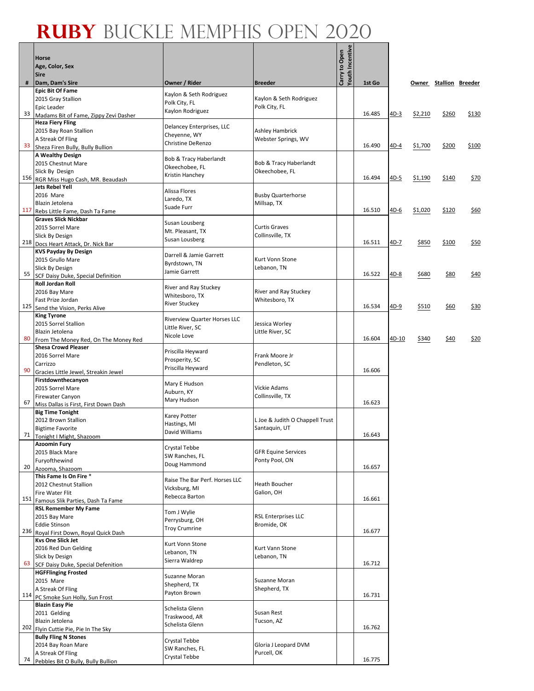#### **Ruby** Buckle Memphis Open 2020 ┱

Г

 $\overline{\phantom{a}}$ 

|     | Horse<br>Age, Color, Sex<br><b>Sire</b>                              |                                        |                                               | <b>Youth Incentive</b><br>Carry to Open |        |         |         |                        |       |
|-----|----------------------------------------------------------------------|----------------------------------------|-----------------------------------------------|-----------------------------------------|--------|---------|---------|------------------------|-------|
| #   | Dam, Dam's Sire                                                      | Owner / Rider                          | <b>Breeder</b>                                |                                         | 1st Go |         |         | Owner Stallion Breeder |       |
|     | <b>Epic Bit Of Fame</b>                                              | Kaylon & Seth Rodriguez                |                                               |                                         |        |         |         |                        |       |
|     | 2015 Gray Stallion<br><b>Epic Leader</b>                             | Polk City, FL                          | Kaylon & Seth Rodriguez<br>Polk City, FL      |                                         |        |         |         |                        |       |
| 33  | Madams Bit of Fame, Zippy Zevi Dasher                                | Kaylon Rodriguez                       |                                               |                                         | 16.485 | 4D-3    | \$2,210 | \$260                  | \$130 |
|     | <b>Heza Fiery Fling</b>                                              | Delancey Enterprises, LLC              |                                               |                                         |        |         |         |                        |       |
|     | 2015 Bay Roan Stallion<br>A Streak Of Fling                          | Cheyenne, WY                           | <b>Ashley Hambrick</b><br>Webster Springs, WV |                                         |        |         |         |                        |       |
| 33  | Sheza Firen Bully, Bully Bullion                                     | Christine DeRenzo                      |                                               |                                         | 16.490 | 4D-4    | \$1,700 | \$200                  | \$100 |
|     | <b>A Wealthy Design</b>                                              | Bob & Tracy Haberlandt                 |                                               |                                         |        |         |         |                        |       |
|     | 2015 Chestnut Mare                                                   | Okeechobee, FL                         | Bob & Tracy Haberlandt                        |                                         |        |         |         |                        |       |
| 156 | Slick By Design<br>RGR Miss Hugo Cash, MR. Beaudash                  | Kristin Hanchey                        | Okeechobee, FL                                |                                         | 16.494 | $4D-5$  | \$1,190 | \$140                  | \$70  |
|     | <b>Jets Rebel Yell</b>                                               | Alissa Flores                          |                                               |                                         |        |         |         |                        |       |
|     | 2016 Mare                                                            | Laredo, TX                             | <b>Busby Quarterhorse</b>                     |                                         |        |         |         |                        |       |
| 117 | Blazin Jetolena<br>Rebs Little Fame, Dash Ta Fame                    | Suade Furr                             | Millsap, TX                                   |                                         | 16.510 | $4D-6$  | \$1,020 | \$120                  | \$60  |
|     | <b>Graves Slick Nickbar</b>                                          |                                        |                                               |                                         |        |         |         |                        |       |
|     | 2015 Sorrel Mare                                                     | Susan Lousberg<br>Mt. Pleasant, TX     | <b>Curtis Graves</b>                          |                                         |        |         |         |                        |       |
|     | Slick By Design                                                      | Susan Lousberg                         | Collinsville, TX                              |                                         | 16.511 | 4D-7    | \$850   | \$100                  | \$50  |
|     | 218 Docs Heart Attack, Dr. Nick Bar<br><b>KVS Payday By Design</b>   |                                        |                                               |                                         |        |         |         |                        |       |
|     | 2015 Grullo Mare                                                     | Darrell & Jamie Garrett                | Kurt Vonn Stone                               |                                         |        |         |         |                        |       |
|     | Slick By Design                                                      | Byrdstown, TN<br>Jamie Garrett         | Lebanon, TN                                   |                                         |        |         |         |                        |       |
| 55  | SCF Daisy Duke, Special Definition                                   |                                        |                                               |                                         | 16.522 | 4D-8    | \$680   | \$80                   | \$40  |
|     | <b>Roll Jordan Roll</b><br>2016 Bay Mare                             | River and Ray Stuckey                  | River and Ray Stuckey                         |                                         |        |         |         |                        |       |
|     | Fast Prize Jordan                                                    | Whitesboro, TX                         | Whitesboro, TX                                |                                         |        |         |         |                        |       |
| 125 | Send the Vision, Perks Alive                                         | <b>River Stuckey</b>                   |                                               |                                         | 16.534 | $4D-9$  | \$510   | \$60                   | \$30  |
|     | <b>King Tyrone</b>                                                   | <b>Riverview Quarter Horses LLC</b>    |                                               |                                         |        |         |         |                        |       |
|     | 2015 Sorrel Stallion<br>Blazin Jetolena                              | Little River, SC                       | Jessica Worley<br>Little River, SC            |                                         |        |         |         |                        |       |
| 80  | From The Money Red, On The Money Red                                 | Nicole Love                            |                                               |                                         | 16.604 | $4D-10$ | \$340   | \$40                   | \$20  |
|     | <b>Shesa Crowd Pleaser</b>                                           | Priscilla Heyward                      |                                               |                                         |        |         |         |                        |       |
|     | 2016 Sorrel Mare<br>Carrizzo                                         | Prosperity, SC                         | Frank Moore Jr<br>Pendleton, SC               |                                         |        |         |         |                        |       |
| 90  | Gracies Little Jewel, Streakin Jewel                                 | Priscilla Heyward                      |                                               |                                         | 16.606 |         |         |                        |       |
|     | Firstdownthecanyon                                                   | Mary E Hudson                          |                                               |                                         |        |         |         |                        |       |
|     | 2015 Sorrel Mare                                                     | Auburn, KY                             | Vickie Adams                                  |                                         |        |         |         |                        |       |
| 67  | <b>Firewater Canyon</b><br>Miss Dallas is First, First Down Dash     | Mary Hudson                            | Collinsville, TX                              |                                         | 16.623 |         |         |                        |       |
|     | <b>Big Time Tonight</b>                                              | Karey Potter                           |                                               |                                         |        |         |         |                        |       |
|     | 2012 Brown Stallion                                                  | Hastings, MI                           | L Joe & Judith O Chappell Trust               |                                         |        |         |         |                        |       |
| 71  | <b>Bigtime Favorite</b><br>Tonight I Might, Shazoom                  | David Williams                         | Santaquin, UT                                 |                                         | 16.643 |         |         |                        |       |
|     | <b>Azoomin Fury</b>                                                  | Crystal Tebbe                          |                                               |                                         |        |         |         |                        |       |
|     | 2015 Black Mare                                                      | SW Ranches, FL                         | <b>GFR Equine Services</b>                    |                                         |        |         |         |                        |       |
| 20  | Furyofthewind                                                        | Doug Hammond                           | Ponty Pool, ON                                |                                         | 16.657 |         |         |                        |       |
|     | Azooma, Shazoom<br>This Fame Is On Fire *                            | Raise The Bar Perf. Horses LLC         |                                               |                                         |        |         |         |                        |       |
|     | 2012 Chestnut Stallion                                               | Vicksburg, MI                          | Heath Boucher                                 |                                         |        |         |         |                        |       |
|     | <b>Fire Water Flit</b>                                               | Rebecca Barton                         | Galion, OH                                    |                                         | 16.661 |         |         |                        |       |
|     | 151 Famous Slik Parties, Dash Ta Fame<br><b>RSL Remember My Fame</b> |                                        |                                               |                                         |        |         |         |                        |       |
|     | 2015 Bay Mare                                                        | Tom J Wylie                            | <b>RSL Enterprises LLC</b>                    |                                         |        |         |         |                        |       |
|     | <b>Eddie Stinson</b>                                                 | Perrysburg, OH<br><b>Troy Crumrine</b> | Bromide, OK                                   |                                         |        |         |         |                        |       |
| 236 | Royal First Down, Royal Quick Dash<br><b>Kvs One Slick Jet</b>       |                                        |                                               |                                         | 16.677 |         |         |                        |       |
|     | 2016 Red Dun Gelding                                                 | Kurt Vonn Stone                        | Kurt Vann Stone                               |                                         |        |         |         |                        |       |
|     | Slick by Design                                                      | Lebanon, TN<br>Sierra Waldrep          | Lebanon, TN                                   |                                         |        |         |         |                        |       |
| 63  | SCF Daisy Duke, Special Defenition                                   |                                        |                                               |                                         | 16.712 |         |         |                        |       |
|     | <b>HGFFlinging Frosted</b><br>2015 Mare                              | Suzanne Moran                          | Suzanne Moran                                 |                                         |        |         |         |                        |       |
|     | A Streak Of Fling                                                    | Shepherd, TX                           | Shepherd, TX                                  |                                         |        |         |         |                        |       |
|     | 114 PC Smoke Sun Holly, Sun Frost                                    | Payton Brown                           |                                               |                                         | 16.731 |         |         |                        |       |
|     | <b>Blazin Easy Pie</b>                                               | Schelista Glenn                        |                                               |                                         |        |         |         |                        |       |
|     | 2011 Gelding<br>Blazin Jetolena                                      | Traskwood, AR                          | Susan Rest<br>Tucson, AZ                      |                                         |        |         |         |                        |       |
| 202 | Flyin Cuttie Pie, Pie In The Sky                                     | Schelista Glenn                        |                                               |                                         | 16.762 |         |         |                        |       |
|     | <b>Bully Fling N Stones</b>                                          | Crystal Tebbe                          |                                               |                                         |        |         |         |                        |       |
|     | 2014 Bay Roan Mare<br>A Streak Of Fling                              | SW Ranches, FL                         | Gloria J Leopard DVM<br>Purcell, OK           |                                         |        |         |         |                        |       |
| 74  | Pebbles Bit O Bully, Bully Bullion                                   | Crystal Tebbe                          |                                               |                                         | 16.775 |         |         |                        |       |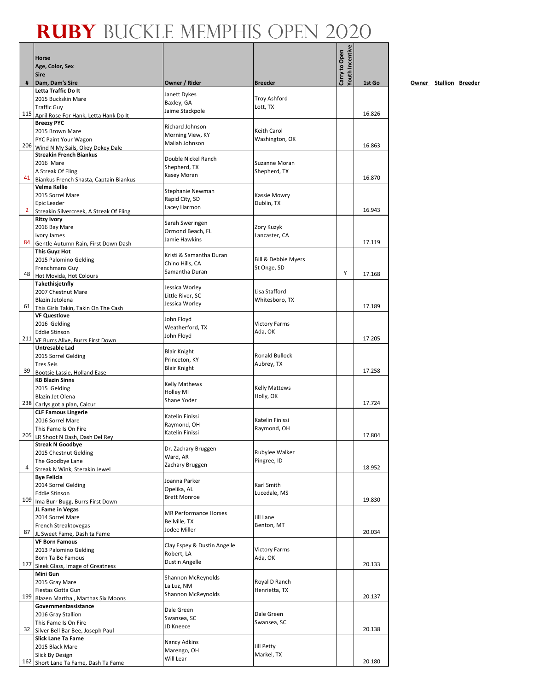|                |                                                        |                                          |                                | fouth Incentive |        |
|----------------|--------------------------------------------------------|------------------------------------------|--------------------------------|-----------------|--------|
|                | <b>Horse</b>                                           |                                          |                                |                 |        |
|                | Age, Color, Sex<br><b>Sire</b>                         |                                          |                                | Carry to Open   |        |
| #              | Dam, Dam's Sire                                        | Owner / Rider                            | <b>Breeder</b>                 |                 | 1st Go |
|                | Letta Traffic Do It                                    |                                          |                                |                 |        |
|                | 2015 Buckskin Mare                                     | Janett Dykes<br>Baxley, GA               | <b>Troy Ashford</b>            |                 |        |
|                | <b>Traffic Guy</b>                                     | Jaime Stackpole                          | Lott, TX                       |                 |        |
|                | 115 April Rose For Hank, Letta Hank Do It              |                                          |                                |                 | 16.826 |
|                | <b>Breezy PYC</b><br>2015 Brown Mare                   | Richard Johnson                          | Keith Carol                    |                 |        |
|                | PYC Paint Your Wagon                                   | Morning View, KY                         | Washington, OK                 |                 |        |
|                | 206 Wind N My Sails, Okey Dokey Dale                   | Maliah Johnson                           |                                |                 | 16.863 |
|                | <b>Streakin French Biankus</b>                         | Double Nickel Ranch                      |                                |                 |        |
|                | 2016 Mare                                              | Shepherd, TX                             | Suzanne Moran                  |                 |        |
| 41             | A Streak Of Fling                                      | Kasey Moran                              | Shepherd, TX                   |                 | 16.870 |
|                | Biankus French Shasta, Captain Biankus<br>Velma Kellie |                                          |                                |                 |        |
|                | 2015 Sorrel Mare                                       | Stephanie Newman                         | Kassie Mowry                   |                 |        |
|                | Epic Leader                                            | Rapid City, SD                           | Dublin, TX                     |                 |        |
| $\overline{2}$ | Streakin Silvercreek, A Streak Of Fling                | Lacey Harmon                             |                                |                 | 16.943 |
|                | <b>Ritzy Ivory</b>                                     | Sarah Sweringen                          |                                |                 |        |
|                | 2016 Bay Mare                                          | Ormond Beach, FL                         | Zory Kuzyk                     |                 |        |
| 84             | Ivory James<br>Gentle Autumn Rain, First Down Dash     | Jamie Hawkins                            | Lancaster, CA                  |                 | 17.119 |
|                | <b>This Guyz Hot</b>                                   |                                          |                                |                 |        |
|                | 2015 Palomino Gelding                                  | Kristi & Samantha Duran                  | <b>Bill &amp; Debbie Myers</b> |                 |        |
|                | Frenchmans Guy                                         | Chino Hills, CA<br>Samantha Duran        | St Onge, SD                    |                 |        |
| 48             | Hot Movida, Hot Colours                                |                                          |                                | Y               | 17.168 |
|                | Takethisjetnfly                                        | Jessica Worley                           |                                |                 |        |
|                | 2007 Chestnut Mare                                     | Little River, SC                         | Lisa Stafford                  |                 |        |
| 61             | Blazin Jetolena<br>This Girls Takin, Takin On The Cash | Jessica Worley                           | Whitesboro, TX                 |                 | 17.189 |
|                | <b>VF Questlove</b>                                    |                                          |                                |                 |        |
|                | 2016 Gelding                                           | John Floyd                               | <b>Victory Farms</b>           |                 |        |
|                | <b>Eddie Stinson</b>                                   | Weatherford, TX<br>John Floyd            | Ada, OK                        |                 |        |
|                | 211 VF Burrs Alive, Burrs First Down                   |                                          |                                |                 | 17.205 |
|                | Untresable Lad                                         | <b>Blair Knight</b>                      |                                |                 |        |
|                | 2015 Sorrel Gelding<br><b>Tres Seis</b>                | Princeton, KY                            | Ronald Bullock<br>Aubrey, TX   |                 |        |
| 39             | Bootsie Lassie, Holland Ease                           | <b>Blair Knight</b>                      |                                |                 | 17.258 |
|                | <b>KB Blazin Sinns</b>                                 |                                          |                                |                 |        |
|                | 2015 Gelding                                           | <b>Kelly Mathews</b><br><b>Holley MI</b> | <b>Kelly Mattews</b>           |                 |        |
|                | <b>Blazin Jet Olena</b>                                | Shane Yoder                              | Holly, OK                      |                 |        |
|                | 238 Carlys got a plan, Calcur                          |                                          |                                |                 | 17.724 |
|                | <b>CLF Famous Lingerie</b><br>2016 Sorrel Mare         | Katelin Finissi                          | Katelin Finissi                |                 |        |
|                | This Fame Is On Fire                                   | Raymond, OH                              | Raymond, OH                    |                 |        |
|                | 205 LR Shoot N Dash, Dash Del Rey                      | Katelin Finissi                          |                                |                 | 17.804 |
|                | <b>Streak N Goodbye</b>                                | Dr. Zachary Bruggen                      |                                |                 |        |
|                | 2015 Chestnut Gelding                                  | Ward, AR                                 | Rubylee Walker                 |                 |        |
| 4              | The Goodbye Lane                                       | Zachary Bruggen                          | Pingree, ID                    |                 | 18.952 |
|                | Streak N Wink, Sterakin Jewel<br><b>Bye Felicia</b>    |                                          |                                |                 |        |
|                | 2014 Sorrel Gelding                                    | Joanna Parker                            | Karl Smith                     |                 |        |
|                | <b>Eddie Stinson</b>                                   | Opelika, AL                              | Lucedale, MS                   |                 |        |
| 109            | Ima Burr Bugg, Burrs First Down                        | <b>Brett Monroe</b>                      |                                |                 | 19.830 |
|                | JL Fame in Vegas                                       | <b>MR Performance Horses</b>             |                                |                 |        |
|                | 2014 Sorrel Mare                                       | Bellville, TX                            | Jill Lane                      |                 |        |
| 87             | French Streaktovegas<br>JL Sweet Fame, Dash ta Fame    | Jodee Miller                             | Benton, MT                     |                 | 20.034 |
|                | <b>VF Born Famous</b>                                  |                                          |                                |                 |        |
|                | 2013 Palomino Gelding                                  | Clay Espey & Dustin Angelle              | <b>Victory Farms</b>           |                 |        |
|                | Born Ta Be Famous                                      | Robert, LA<br><b>Dustin Angelle</b>      | Ada, OK                        |                 |        |
|                | 177 Sleek Glass, Image of Greatness                    |                                          |                                |                 | 20.133 |
|                | Mini Gun                                               | Shannon McReynolds                       |                                |                 |        |
|                | 2015 Gray Mare<br>Fiestas Gotta Gun                    | La Luz, NM                               | Royal D Ranch<br>Henrietta, TX |                 |        |
| 199            | Blazen Martha, Marthas Six Moons                       | Shannon McReynolds                       |                                |                 | 20.137 |
|                | Governmentassistance                                   |                                          |                                |                 |        |
|                | 2016 Gray Stallion                                     | Dale Green<br>Swansea, SC                | Dale Green                     |                 |        |
|                | This Fame Is On Fire                                   | JD Kneece                                | Swansea, SC                    |                 |        |
| 32             | Silver Bell Bar Bee, Joseph Paul                       |                                          |                                |                 | 20.138 |
|                | Slick Lane Ta Fame<br>2015 Black Mare                  | Nancy Adkins                             | Jill Petty                     |                 |        |
|                | Slick By Design                                        | Marengo, OH                              | Markel, TX                     |                 |        |
|                | 162 Short Lane Ta Fame, Dash Ta Fame                   | Will Lear                                |                                |                 | 20.180 |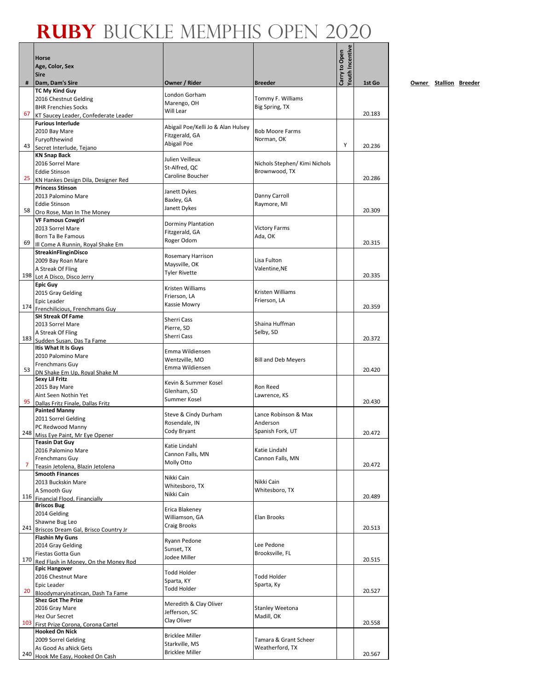|     | <b>Horse</b>                                                   |                                      |                                          | Youth Incentive<br>Carry to Open |        |
|-----|----------------------------------------------------------------|--------------------------------------|------------------------------------------|----------------------------------|--------|
|     | Age, Color, Sex<br><b>Sire</b>                                 |                                      |                                          |                                  |        |
| #   | Dam, Dam's Sire                                                | Owner / Rider                        | <b>Breeder</b>                           |                                  | 1st Go |
|     | <b>TC My Kind Guy</b>                                          | London Gorham                        |                                          |                                  |        |
|     | 2016 Chestnut Gelding<br><b>BHR Frenchies Socks</b>            | Marengo, OH                          | Tommy F. Williams<br>Big Spring, TX      |                                  |        |
| 67  | KT Saucey Leader, Confederate Leader                           | Will Lear                            |                                          |                                  | 20.183 |
|     | <b>Furious Interlude</b>                                       | Abigail Poe/Kelli Jo & Alan Hulsey   |                                          |                                  |        |
|     | 2010 Bay Mare                                                  | Fitzgerald, GA                       | <b>Bob Moore Farms</b>                   |                                  |        |
|     | Furyofthewind<br>43 Secret Interlude, Tejano                   | Abigail Poe                          | Norman, OK                               | Y                                | 20.236 |
|     | <b>KN Snap Back</b>                                            | Julien Veilleux                      |                                          |                                  |        |
|     | 2016 Sorrel Mare                                               | St-Alfred, QC                        | Nichols Stephen/ Kimi Nichols            |                                  |        |
|     | <b>Eddie Stinson</b><br>25 KN Hankes Design Dila, Designer Red | Caroline Boucher                     | Brownwood, TX                            |                                  | 20.286 |
|     | <b>Princess Stinson</b>                                        | Janett Dykes                         |                                          |                                  |        |
|     | 2013 Palomino Mare                                             | Baxley, GA                           | Danny Carroll                            |                                  |        |
| 58  | <b>Eddie Stinson</b>                                           | Janett Dykes                         | Raymore, MI                              |                                  | 20.309 |
|     | Oro Rose, Man In The Money<br><b>VF Famous Cowgirl</b>         |                                      |                                          |                                  |        |
|     | 2013 Sorrel Mare                                               | Dorminy Plantation<br>Fitzgerald, GA | <b>Victory Farms</b>                     |                                  |        |
|     | Born Ta Be Famous                                              | Roger Odom                           | Ada, OK                                  |                                  |        |
| 69  | Ill Come A Runnin, Royal Shake Em<br>StreakinFlinginDisco      |                                      |                                          |                                  | 20.315 |
|     | 2009 Bay Roan Mare                                             | Rosemary Harrison                    | Lisa Fulton                              |                                  |        |
|     | A Streak Of Fling                                              | Maysville, OK<br>Tyler Rivette       | Valentine, NE                            |                                  |        |
|     | 198 Lot A Disco, Disco Jerry                                   |                                      |                                          |                                  | 20.335 |
|     | <b>Epic Guy</b><br>2015 Gray Gelding                           | Kristen Williams                     | Kristen Williams                         |                                  |        |
|     | <b>Epic Leader</b>                                             | Frierson, LA                         | Frierson, LA                             |                                  |        |
|     | 174 Frenchilicious, Frenchmans Guy                             | Kassie Mowry                         |                                          |                                  | 20.359 |
|     | <b>SH Streak Of Fame</b>                                       | Sherri Cass                          |                                          |                                  |        |
|     | 2013 Sorrel Mare<br>A Streak Of Fling                          | Pierre, SD                           | Shaina Huffman<br>Selby, SD              |                                  |        |
|     | 183 Sudden Susan, Das Ta Fame                                  | Sherri Cass                          |                                          |                                  | 20.372 |
|     | Itis What It Is Guys                                           | Emma Wildiensen                      |                                          |                                  |        |
|     | 2010 Palomino Mare                                             | Wentzville, MO                       | <b>Bill and Deb Meyers</b>               |                                  |        |
| 53  | <b>Frenchmans Guy</b><br>DN Shake Em Up, Royal Shake M         | Emma Wildiensen                      |                                          |                                  | 20.420 |
|     | <b>Sexy Lil Fritz</b>                                          | Kevin & Summer Kosel                 |                                          |                                  |        |
|     | 2015 Bay Mare                                                  | Glenham, SD                          | Ron Reed                                 |                                  |        |
|     | Aint Seen Nothin Yet<br>95 Dallas Fritz Finale, Dallas Fritz   | Summer Kosel                         | Lawrence, KS                             |                                  | 20.430 |
|     | <b>Painted Manny</b>                                           | Steve & Cindy Durham                 | Lance Robinson & Max                     |                                  |        |
|     | 2011 Sorrel Gelding                                            | Rosendale, IN                        | Anderson                                 |                                  |        |
|     | PC Redwood Manny<br>248 Miss Eye Paint, Mr Eye Opener          | Cody Bryant                          | Spanish Fork, UT                         |                                  | 20.472 |
|     | <b>Teasin Dat Guy</b>                                          |                                      |                                          |                                  |        |
|     | 2016 Palomino Mare                                             | Katie Lindahl<br>Cannon Falls, MN    | Katie Lindahl                            |                                  |        |
| 7   | Frenchmans Guy                                                 | Molly Otto                           | Cannon Falls, MN                         |                                  | 20.472 |
|     | Teasin Jetolena. Blazin Jetolena<br><b>Smooth Finances</b>     |                                      |                                          |                                  |        |
|     | 2013 Buckskin Mare                                             | Nikki Cain                           | Nikki Cain                               |                                  |        |
|     | A Smooth Guy                                                   | Whitesboro, TX<br>Nikki Cain         | Whitesboro, TX                           |                                  | 20.489 |
|     | 116 Financial Flood, Financially<br><b>Briscos Bug</b>         |                                      |                                          |                                  |        |
|     | 2014 Gelding                                                   | Erica Blakeney                       |                                          |                                  |        |
|     | Shawne Bug Leo                                                 | Williamson, GA<br>Craig Brooks       | Elan Brooks                              |                                  |        |
|     | 241 Briscos Dream Gal, Brisco Country Jr                       |                                      |                                          |                                  | 20.513 |
|     | <b>Flashin My Guns</b><br>2014 Gray Gelding                    | Ryann Pedone                         | Lee Pedone                               |                                  |        |
|     | Fiestas Gotta Gun                                              | Sunset, TX<br>Jodee Miller           | Brooksville, FL                          |                                  |        |
|     | 170 Red Flash in Money, On the Money Rod                       |                                      |                                          |                                  | 20.515 |
|     | <b>Epic Hangover</b><br>2016 Chestnut Mare                     | Todd Holder                          | Todd Holder                              |                                  |        |
|     | <b>Epic Leader</b>                                             | Sparta, KY                           | Sparta, Ky                               |                                  |        |
| 20  | Bloodymaryinatincan, Dash Ta Fame                              | Todd Holder                          |                                          |                                  | 20.527 |
|     | <b>Shez Got The Prize</b>                                      | Meredith & Clay Oliver               |                                          |                                  |        |
|     | 2016 Gray Mare<br>Hez Our Secret                               | Jefferson, SC                        | <b>Stanley Weetona</b><br>Madill, OK     |                                  |        |
|     | 103 First Prize Corona, Corona Cartel                          | Clay Oliver                          |                                          |                                  | 20.558 |
|     | <b>Hooked On Nick</b>                                          | <b>Bricklee Miller</b>               |                                          |                                  |        |
|     | 2009 Sorrel Gelding<br>As Good As aNick Gets                   | Starkville, MS                       | Tamara & Grant Scheer<br>Weatherford, TX |                                  |        |
| 240 | Hook Me Easy, Hooked On Cash                                   | <b>Bricklee Miller</b>               |                                          |                                  | 20.567 |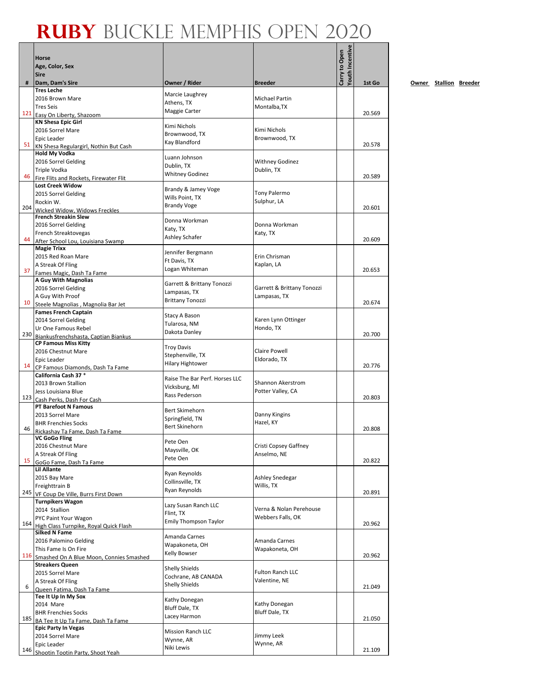$\mathbf{r}$ 

|     | Horse<br>Age, Color, Sex<br><b>Sire</b>                           |                                           |                                    | <b>routh Incentive</b><br>Carry to Open |        |
|-----|-------------------------------------------------------------------|-------------------------------------------|------------------------------------|-----------------------------------------|--------|
| #   | Dam, Dam's Sire<br><b>Tres Leche</b>                              | Owner / Rider                             | <b>Breeder</b>                     |                                         | 1st Go |
|     | 2016 Brown Mare                                                   | Marcie Laughrey                           | <b>Michael Partin</b>              |                                         |        |
|     | <b>Tres Seis</b>                                                  | Athens, TX                                | Montalba, TX                       |                                         |        |
| 121 | Easy On Liberty, Shazoom                                          | Maggie Carter                             |                                    |                                         | 20.569 |
|     | <b>KN Shesa Epic Girl</b>                                         | Kimi Nichols                              |                                    |                                         |        |
|     | 2016 Sorrel Mare                                                  | Brownwood, TX                             | Kimi Nichols                       |                                         |        |
| 51  | Epic Leader                                                       | Kay Blandford                             | Brownwood, TX                      |                                         | 20.578 |
|     | KN Shesa Regulargirl, Nothin But Cash<br><b>Hold My Vodka</b>     |                                           |                                    |                                         |        |
|     | 2016 Sorrel Gelding                                               | Luann Johnson                             | <b>Withney Godinez</b>             |                                         |        |
|     | Triple Vodka                                                      | Dublin, TX                                | Dublin, TX                         |                                         |        |
| 46  | Fire Flits and Rockets, Firewater Flit                            | <b>Whitney Godinez</b>                    |                                    |                                         | 20.589 |
|     | <b>Lost Creek Widow</b>                                           | Brandy & Jamey Voge                       |                                    |                                         |        |
|     | 2015 Sorrel Gelding<br>Rockin W.                                  | Wills Point, TX                           | <b>Tony Palermo</b><br>Sulphur, LA |                                         |        |
| 204 | Wicked Widow, Widows Freckles                                     | <b>Brandy Voge</b>                        |                                    |                                         | 20.601 |
|     | <b>French Streakin Slew</b>                                       |                                           |                                    |                                         |        |
|     | 2016 Sorrel Gelding                                               | Donna Workman<br>Katy, TX                 | Donna Workman                      |                                         |        |
|     | French Streaktovegas                                              | Ashley Schafer                            | Katy, TX                           |                                         |        |
| 44  | After School Lou, Louisiana Swamp                                 |                                           |                                    |                                         | 20.609 |
|     | <b>Magie Trixx</b><br>2015 Red Roan Mare                          | Jennifer Bergmann                         | Erin Chrisman                      |                                         |        |
|     | A Streak Of Fling                                                 | Ft Davis, TX                              | Kaplan, LA                         |                                         |        |
| 37  | Fames Magic, Dash Ta Fame                                         | Logan Whiteman                            |                                    |                                         | 20.653 |
|     | A Guy With Magnolias                                              | Garrett & Brittany Tonozzi                |                                    |                                         |        |
|     | 2016 Sorrel Gelding                                               | Lampasas, TX                              | Garrett & Brittany Tonozzi         |                                         |        |
| 10  | A Guy With Proof                                                  | <b>Brittany Tonozzi</b>                   | Lampasas, TX                       |                                         | 20.674 |
|     | Steele Magnolias, Magnolia Bar Jet<br><b>Fames French Captain</b> |                                           |                                    |                                         |        |
|     | 2014 Sorrel Gelding                                               | Stacy A Bason                             | Karen Lynn Ottinger                |                                         |        |
|     | Ur One Famous Rebel                                               | Tularosa, NM<br>Dakota Danley             | Hondo, TX                          |                                         |        |
| 230 | Biankusfrenchshasta, Captian Biankus                              |                                           |                                    |                                         | 20.700 |
|     | <b>CP Famous Miss Kitty</b><br>2016 Chestnut Mare                 | <b>Troy Davis</b>                         | <b>Claire Powell</b>               |                                         |        |
|     | Epic Leader                                                       | Stephenville, TX                          | Eldorado, TX                       |                                         |        |
| 14  | CP Famous Diamonds, Dash Ta Fame                                  | <b>Hilary Hightower</b>                   |                                    |                                         | 20.776 |
|     | California Cash 37 *                                              | Raise The Bar Perf. Horses LLC            |                                    |                                         |        |
|     | 2013 Brown Stallion                                               | Vicksburg, MI                             | <b>Shannon Akerstrom</b>           |                                         |        |
| 123 | Jess Louisiana Blue                                               | Rass Pederson                             | Potter Valley, CA                  |                                         | 20.803 |
|     | Cash Perks, Dash For Cash<br><b>PT Barefoot N Famous</b>          |                                           |                                    |                                         |        |
|     | 2013 Sorrel Mare                                                  | <b>Bert Skimehorn</b>                     | Danny Kingins                      |                                         |        |
|     | <b>BHR Frenchies Socks</b>                                        | Springfield, TN<br>Bert Skinehorn         | Hazel, KY                          |                                         |        |
| 46  | Rickashay Ta Fame, Dash Ta Fame                                   |                                           |                                    |                                         | 20.808 |
|     | VC GoGo Fling<br>2016 Chestnut Mare                               | Pete Oen                                  | Cristi Copsey Gaffney              |                                         |        |
|     | A Streak Of Fling                                                 | Maysville, OK                             | Anselmo, NE                        |                                         |        |
| 15  | GoGo Fame, Dash Ta Fame                                           | Pete Oen                                  |                                    |                                         | 20.822 |
|     | Lil Allante                                                       | Ryan Reynolds                             |                                    |                                         |        |
|     | 2015 Bay Mare                                                     | Collinsville, TX                          | Ashley Snedegar                    |                                         |        |
| 245 | Freighttrain B                                                    | Ryan Reynolds                             | Willis, TX                         |                                         | 20.891 |
|     | VF Coup De Ville, Burrs First Down<br><b>Turnpikers Wagon</b>     |                                           |                                    |                                         |        |
|     | 2014 Stallion                                                     | Lazy Susan Ranch LLC                      | Verna & Nolan Perehouse            |                                         |        |
|     | PYC Paint Your Wagon                                              | Flint, TX<br><b>Emily Thompson Taylor</b> | Webbers Falls, OK                  |                                         |        |
| 164 | High Class Turnpike, Royal Quick Flash                            |                                           |                                    |                                         | 20.962 |
|     | <b>Silked N Fame</b>                                              | Amanda Carnes                             | Amanda Carnes                      |                                         |        |
|     | 2016 Palomino Gelding<br>This Fame Is On Fire                     | Wapakoneta, OH                            | Wapakoneta, OH                     |                                         |        |
| 116 | Smashed On A Blue Moon, Connies Smashed                           | Kelly Bowser                              |                                    |                                         | 20.962 |
|     | <b>Streakers Queen</b>                                            | <b>Shelly Shields</b>                     |                                    |                                         |        |
|     | 2015 Sorrel Mare                                                  | Cochrane, AB CANADA                       | <b>Fulton Ranch LLC</b>            |                                         |        |
| 6   | A Streak Of Fling                                                 | <b>Shelly Shields</b>                     | Valentine, NE                      |                                         | 21.049 |
|     | Queen Fatima, Dash Ta Fame<br>Tee It Up In My Sox                 |                                           |                                    |                                         |        |
|     | 2014 Mare                                                         | Kathy Donegan                             | Kathy Donegan                      |                                         |        |
|     | <b>BHR Frenchies Socks</b>                                        | Bluff Dale, TX<br>Lacey Harmon            | <b>Bluff Dale, TX</b>              |                                         |        |
| 185 | BA Tee It Up Ta Fame, Dash Ta Fame                                |                                           |                                    |                                         | 21.050 |
|     | <b>Epic Party In Vegas</b>                                        | <b>Mission Ranch LLC</b>                  | Jimmy Leek                         |                                         |        |
|     | 2014 Sorrel Mare<br>Epic Leader                                   | Wynne, AR                                 | Wynne, AR                          |                                         |        |
|     | 146 Shootin Tootin Party, Shoot Yeah                              | Niki Lewis                                |                                    |                                         | 21.109 |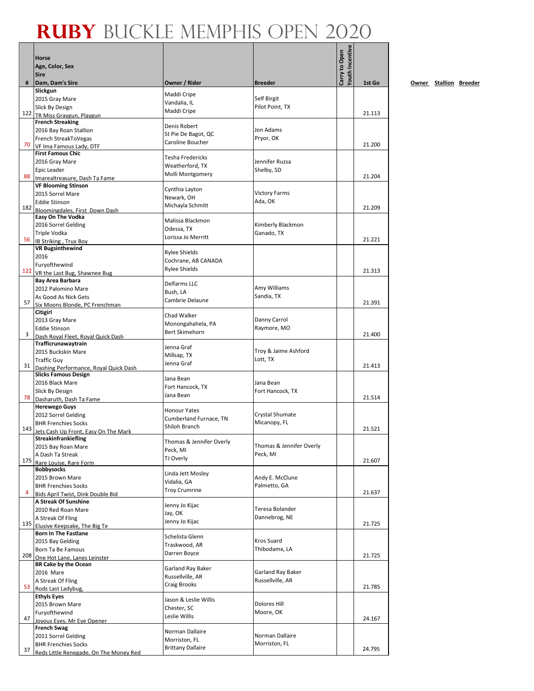|     | Horse<br>Age, Color, Sex                                    |                                         |                                       | <b>routh Incentive</b><br>Carry to Open |        |
|-----|-------------------------------------------------------------|-----------------------------------------|---------------------------------------|-----------------------------------------|--------|
|     | <b>Sire</b>                                                 |                                         |                                       |                                         |        |
| #   | Dam, Dam's Sire<br>Slickgun                                 | Owner / Rider                           | <b>Breeder</b>                        |                                         | 1st Go |
|     | 2015 Gray Mare                                              | Maddi Cripe                             | Self Birgit                           |                                         |        |
|     | Slick By Design                                             | Vandalia, IL<br>Maddi Cripe             | Pilot Point, TX                       |                                         |        |
|     | 122 TR Miss Gravgun. Plavgun                                |                                         |                                       |                                         | 21.113 |
|     | <b>French Streaking</b><br>2016 Bay Roan Stallion           | Denis Robert                            | Jon Adams                             |                                         |        |
|     | French StreakToVegas                                        | St Pie De Bagot, QC                     | Pryor, OK                             |                                         |        |
| 70  | VF Ima Famous Lady, DTF                                     | Caroline Boucher                        |                                       |                                         | 21.200 |
|     | <b>First Famous Chic</b>                                    | <b>Tesha Fredericks</b>                 |                                       |                                         |        |
|     | 2016 Gray Mare                                              | Weatherford, TX                         | Jennifer Ruzsa                        |                                         |        |
| 88  | Epic Leader                                                 | Molli Montgomery                        | Shelby, SD                            |                                         | 21.204 |
|     | Imarealtreasure, Dash Ta Fame<br><b>VF Blooming Stinson</b> |                                         |                                       |                                         |        |
|     | 2015 Sorrel Mare                                            | Cynthia Layton                          | <b>Victory Farms</b>                  |                                         |        |
|     | <b>Eddie Stinson</b>                                        | Newark, OH<br>Michayla Schmitt          | Ada, OK                               |                                         |        |
|     | 182 Bloomingdales, First Down Dash                          |                                         |                                       |                                         | 21.209 |
|     | Easy On The Vodka<br>2016 Sorrel Gelding                    | Malissa Blackmon                        | Kimberly Blackmon                     |                                         |        |
|     | Triple Vodka                                                | Odessa, TX                              | Ganado, TX                            |                                         |        |
| 56  | IB Striking, Trux Boy                                       | Lorissa Jo Merritt                      |                                       |                                         | 21.221 |
|     | <b>VR Bugsinthewind</b>                                     | <b>Rylee Shields</b>                    |                                       |                                         |        |
|     | 2016                                                        | Cochrane, AB CANADA                     |                                       |                                         |        |
|     | Furyofthewind<br>122 VR the Last Bug, Shawnee Bug           | <b>Rylee Shields</b>                    |                                       |                                         | 21.313 |
|     | <b>Bay Area Barbara</b>                                     |                                         |                                       |                                         |        |
|     | 2012 Palomino Mare                                          | Delfarms LLC<br>Bush, LA                | Amy Williams                          |                                         |        |
|     | As Good As Nick Gets                                        | Cambrie Delaune                         | Sandia, TX                            |                                         |        |
| 57  | Six Moons Blonde, PC Frenchman                              |                                         |                                       |                                         | 21.391 |
|     | Citigirl<br>2013 Gray Mare                                  | Chad Walker                             | Danny Carrol                          |                                         |        |
|     | <b>Eddie Stinson</b>                                        | Monongahahela, PA                       | Raymore, MO                           |                                         |        |
| 3   | Dash Royal Fleet, Royal Quick Dash                          | Bert Skimehorn                          |                                       |                                         | 21.400 |
|     | Trafficrunawaytrain                                         | Jenna Graf                              |                                       |                                         |        |
|     | 2015 Buckskin Mare                                          | Millsap, TX                             | Troy & Jaime Ashford                  |                                         |        |
| 31  | <b>Traffic Guy</b><br>Dashing Performance, Royal Quick Dash | Jenna Graf                              | Lott, TX                              |                                         | 21.413 |
|     | <b>Slicks Famous Design</b>                                 | Jana Bean                               |                                       |                                         |        |
|     | 2016 Black Mare                                             | Fort Hancock, TX                        | Jana Bean                             |                                         |        |
| 78  | Slick By Design                                             | Jana Bean                               | Fort Hancock, TX                      |                                         | 21.514 |
|     | Dasharuth, Dash Ta Fame<br><b>Herewego Guys</b>             |                                         |                                       |                                         |        |
|     | 2012 Sorrel Gelding                                         | <b>Honour Yates</b>                     | Crystal Shumate                       |                                         |        |
|     | <b>BHR Frenchies Socks</b>                                  | Cumberland Furnace, TN<br>Shiloh Branch | Micanopy, FL                          |                                         |        |
| 143 | Jets Cash Up Front, Easy On The Mark                        |                                         |                                       |                                         | 21.521 |
|     | Streakinfrankiefling                                        | Thomas & Jennifer Overly                |                                       |                                         |        |
|     | 2015 Bay Roan Mare<br>A Dash Ta Streak                      | Peck, MI                                | Thomas & Jennifer Overly<br>Peck, MI  |                                         |        |
| 175 | Rare Louise, Rare Form                                      | TJ Overly                               |                                       |                                         | 21.607 |
|     | <b>Bobbysocks</b>                                           | Linda Jett Mosley                       |                                       |                                         |        |
|     | 2015 Brown Mare                                             | Vidalia, GA                             | Andy E. McClune                       |                                         |        |
| 4   | <b>BHR Frenchies Socks</b>                                  | <b>Troy Crumrine</b>                    | Palmetto, GA                          |                                         | 21.637 |
|     | Bids April Twist, Dink Double Bid<br>A Streak Of Sunshine   |                                         |                                       |                                         |        |
|     | 2010 Red Roan Mare                                          | Jenny Jo Kijac<br>Jay, OK               | Teresa Bolander                       |                                         |        |
|     | A Streak Of Fling                                           | Jenny Jo Kijac                          | Dannebrog, NE                         |                                         |        |
| 135 | Elusive Keepsake, The Big Te                                |                                         |                                       |                                         | 21.725 |
|     | <b>Born In The Fastlane</b><br>2015 Bay Gelding             | Schelista Glenn                         | Kros Suard                            |                                         |        |
|     | Born Ta Be Famous                                           | Traskwood, AR                           | Thibodamx, LA                         |                                         |        |
| 208 | One Hot Lane, Lanes Leinster                                | Darren Boyce                            |                                       |                                         | 21.725 |
|     | <b>BR Cake by the Ocean</b>                                 | Garland Ray Baker                       |                                       |                                         |        |
|     | 2016 Mare<br>A Streak Of Fling                              | Russellville, AR                        | Garland Ray Baker<br>Russellville, AR |                                         |        |
| 53  | Rods Last Ladybug,                                          | Craig Brooks                            |                                       |                                         | 21.785 |
|     | <b>Ethyls Eyes</b>                                          | Jason & Leslie Willis                   |                                       |                                         |        |
|     | 2015 Brown Mare                                             | Chester, SC                             | Dolores Hill                          |                                         |        |
| 47  | Furyofthewind                                               | Leslie Willis                           | Moore, OK                             |                                         | 24.167 |
|     | Joyous Eyes, Mr Eye Opener<br><b>French Swag</b>            |                                         |                                       |                                         |        |
|     | 2011 Sorrel Gelding                                         | Norman Dallaire                         | Norman Dallaire                       |                                         |        |
|     | <b>BHR Frenchies Socks</b>                                  | Morriston, FL                           | Morriston, FL                         |                                         |        |
| 37  | Reds Little Renegade, On The Money Red                      | <b>Brittany Dallaire</b>                |                                       |                                         | 24.795 |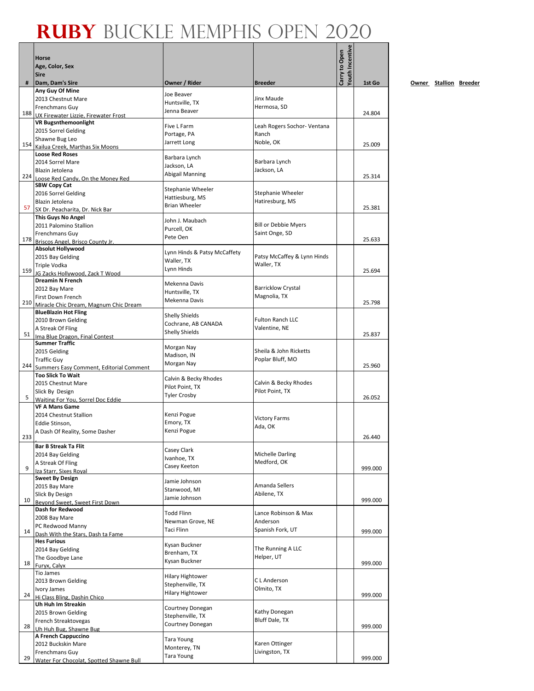|     | Horse                                                                |                                              |                                      | Youth Incentive |         |
|-----|----------------------------------------------------------------------|----------------------------------------------|--------------------------------------|-----------------|---------|
|     | Age, Color, Sex                                                      |                                              |                                      | Carry to Open   |         |
|     | <b>Sire</b>                                                          |                                              |                                      |                 |         |
| #   | Dam, Dam's Sire<br>Any Guy Of Mine                                   | Owner / Rider                                | <b>Breeder</b>                       |                 | 1st Go  |
|     | 2013 Chestnut Mare                                                   | Joe Beaver                                   | Jinx Maude                           |                 |         |
|     | Frenchmans Guy                                                       | Huntsville, TX<br>Jenna Beaver               | Hermosa, SD                          |                 |         |
|     | 188 UX Firewater Lizzie. Firewater Frost                             |                                              |                                      |                 | 24.804  |
|     | <b>VR Bugsnthemoonlight</b><br>2015 Sorrel Gelding                   | Five L Farm                                  | Leah Rogers Sochor- Ventana          |                 |         |
|     | Shawne Bug Leo                                                       | Portage, PA                                  | Ranch                                |                 |         |
| 154 | Kailua Creek, Marthas Six Moons                                      | Jarrett Long                                 | Noble, OK                            |                 | 25.009  |
|     | <b>Loose Red Roses</b><br>2014 Sorrel Mare                           | Barbara Lynch                                | Barbara Lynch                        |                 |         |
|     | Blazin Jetolena                                                      | Jackson, LA                                  | Jackson, LA                          |                 |         |
| 224 | Loose Red Candy, On the Money Red                                    | Abigail Manning                              |                                      |                 | 25.314  |
|     | <b>SBW Copy Cat</b>                                                  | Stephanie Wheeler                            |                                      |                 |         |
|     | 2016 Sorrel Gelding<br>Blazin Jetolena                               | Hattiesburg, MS                              | Stephanie Wheeler<br>Hatiresburg, MS |                 |         |
| 57  | SX Dr. Peacharita, Dr. Nick Bar                                      | <b>Brian Wheeler</b>                         |                                      |                 | 25.381  |
|     | <b>This Guys No Angel</b>                                            | John J. Maubach                              |                                      |                 |         |
|     | 2011 Palomino Stallion                                               | Purcell. OK                                  | <b>Bill or Debbie Myers</b>          |                 |         |
|     | Frenchmans Guy<br>178 Briscos Angel, Brisco County Jr.               | Pete Oen                                     | Saint Onge, SD                       |                 | 25.633  |
|     | <b>Absolut Hollywood</b>                                             |                                              |                                      |                 |         |
|     | 2015 Bay Gelding                                                     | Lynn Hinds & Patsy McCaffety<br>Waller, TX   | Patsy McCaffey & Lynn Hinds          |                 |         |
|     | Triple Vodka<br>159 JG Zacks Hollywood, Zack T Wood                  | Lynn Hinds                                   | Waller, TX                           |                 | 25.694  |
|     | <b>Dreamin N French</b>                                              |                                              |                                      |                 |         |
|     | 2012 Bay Mare                                                        | Mekenna Davis<br>Huntsville, TX              | <b>Barricklow Crystal</b>            |                 |         |
| 210 | First Down French                                                    | Mekenna Davis                                | Magnolia, TX                         |                 | 25.798  |
|     | Miracle Chic Dream, Magnum Chic Dream<br><b>BlueBlazin Hot Fling</b> |                                              |                                      |                 |         |
|     | 2010 Brown Gelding                                                   | <b>Shelly Shields</b>                        | <b>Fulton Ranch LLC</b>              |                 |         |
|     | A Streak Of Fling                                                    | Cochrane, AB CANADA<br><b>Shelly Shields</b> | Valentine, NE                        |                 |         |
| 51  | Ima Blue Dragon, Final Contest<br><b>Summer Traffic</b>              |                                              |                                      |                 | 25.837  |
|     | 2015 Gelding                                                         | Morgan Nay                                   | Sheila & John Ricketts               |                 |         |
|     | <b>Traffic Guy</b>                                                   | Madison, IN                                  | Poplar Bluff, MO                     |                 |         |
|     | 244 Summers Easy Comment, Editorial Comment                          | Morgan Nay                                   |                                      |                 | 25.960  |
|     | <b>Too Slick To Wait</b><br>2015 Chestnut Mare                       | Calvin & Becky Rhodes                        | Calvin & Becky Rhodes                |                 |         |
|     | Slick By Design                                                      | Pilot Point, TX                              | Pilot Point, TX                      |                 |         |
| 5   | Waiting For You. Sorrel Doc Eddie                                    | <b>Tyler Crosby</b>                          |                                      |                 | 26.052  |
|     | <b>VF A Mans Game</b>                                                |                                              |                                      |                 |         |
|     | 2014 Chestnut Stallion<br>Eddie Stinson,                             | Kenzi Pogue<br>Emory, TX                     | <b>Victory Farms</b>                 |                 |         |
|     | A Dash Of Reality, Some Dasher                                       | Kenzi Pogue                                  | Ada, OK                              |                 |         |
| 233 |                                                                      |                                              |                                      |                 | 26.440  |
|     | <b>Bar B Streak Ta Flit</b><br>2014 Bay Gelding                      | Casey Clark                                  | Michelle Darling                     |                 |         |
|     | A Streak Of Fling                                                    | Ivanhoe, TX                                  | Medford, OK                          |                 |         |
| 9   | Iza Starr, Sixes Royal                                               | Casey Keeton                                 |                                      |                 | 999.000 |
|     | <b>Sweet By Design</b>                                               | Jamie Johnson                                | Amanda Sellers                       |                 |         |
|     | 2015 Bay Mare<br>Slick By Design                                     | Stanwood, MI                                 | Abilene, TX                          |                 |         |
| 10  | Bevond Sweet, Sweet First Down                                       | Jamie Johnson                                |                                      |                 | 999.000 |
|     | Dash for Redwood                                                     | <b>Todd Flinn</b>                            | Lance Robinson & Max                 |                 |         |
|     | 2008 Bay Mare<br>PC Redwood Manny                                    | Newman Grove, NE                             | Anderson                             |                 |         |
| 14  | Dash With the Stars, Dash ta Fame                                    | Taci Flinn                                   | Spanish Fork, UT                     |                 | 999.000 |
|     | <b>Hes Furious</b>                                                   | Kysan Buckner                                |                                      |                 |         |
|     | 2014 Bay Gelding                                                     | Brenham, TX                                  | The Running A LLC                    |                 |         |
| 18  | The Goodbye Lane<br>Furyx, Calyx                                     | Kysan Buckner                                | Helper, UT                           |                 | 999.000 |
|     | Tio James                                                            |                                              |                                      |                 |         |
|     | 2013 Brown Gelding                                                   | <b>Hilary Hightower</b><br>Stephenville, TX  | C L Anderson                         |                 |         |
| 24  | Ivory James                                                          | <b>Hilary Hightower</b>                      | Olmito, TX                           |                 | 999.000 |
|     | Hi Class Bling, Dashin Chico<br>Uh Huh Im Streakin                   |                                              |                                      |                 |         |
|     | 2015 Brown Gelding                                                   | Courtney Donegan                             | Kathy Donegan                        |                 |         |
|     | French Streaktovegas                                                 | Stephenville, TX<br>Courtney Donegan         | Bluff Dale, TX                       |                 |         |
| 28  | Uh Huh Bug, Shawne Bug                                               |                                              |                                      |                 | 999.000 |
|     | A French Cappuccino<br>2012 Buckskin Mare                            | Tara Young                                   | Karen Ottinger                       |                 |         |
|     | Frenchmans Guy                                                       | Monterey, TN<br>Tara Young                   | Livingston, TX                       |                 |         |
| 29  | Water For Chocolat. Spotted Shawne Bull                              |                                              |                                      |                 | 999.000 |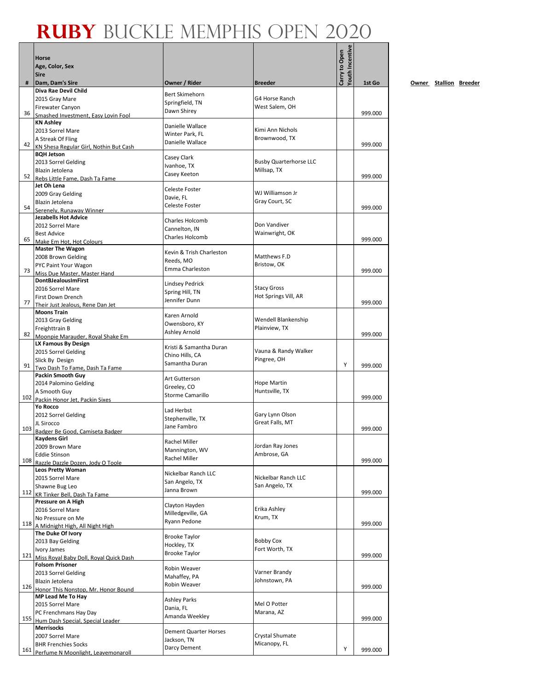|     | <b>Horse</b>                                            |                                     |                                     | Youth Incentive<br>Carry to Open |         |
|-----|---------------------------------------------------------|-------------------------------------|-------------------------------------|----------------------------------|---------|
|     | Age, Color, Sex                                         |                                     |                                     |                                  |         |
|     | <b>Sire</b>                                             |                                     |                                     |                                  |         |
| #   | Dam, Dam's Sire<br>Diva Rae Devil Child                 | Owner / Rider                       | <b>Breeder</b>                      |                                  | 1st Go  |
|     | 2015 Gray Mare                                          | Bert Skimehorn                      | G4 Horse Ranch                      |                                  |         |
|     | <b>Firewater Canyon</b>                                 | Springfield, TN<br>Dawn Shirey      | West Salem, OH                      |                                  |         |
| 36  | Smashed Investment. Easy Lovin Fool                     |                                     |                                     |                                  | 999.000 |
|     | <b>KN Ashley</b>                                        | Danielle Wallace                    | Kimi Ann Nichols                    |                                  |         |
|     | 2013 Sorrel Mare<br>A Streak Of Fling                   | Winter Park, FL                     | Brownwood, TX                       |                                  |         |
| 42  | KN Shesa Regular Girl, Nothin But Cash                  | Danielle Wallace                    |                                     |                                  | 999.000 |
|     | <b>BQH Jetson</b>                                       | Casey Clark                         |                                     |                                  |         |
|     | 2013 Sorrel Gelding                                     | Ivanhoe, TX                         | <b>Busby Quarterhorse LLC</b>       |                                  |         |
| 52  | Blazin Jetolena<br>Rebs Little Fame, Dash Ta Fame       | Casey Keeton                        | Millsap, TX                         |                                  | 999.000 |
|     | Jet Oh Lena                                             |                                     |                                     |                                  |         |
|     | 2009 Gray Gelding                                       | Celeste Foster<br>Davie, FL         | WJ Williamson Jr                    |                                  |         |
| 54  | Blazin Jetolena                                         | Celeste Foster                      | Gray Court, SC                      |                                  | 999.000 |
|     | Serenely, Runaway Winner<br><b>Jezabells Hot Advice</b> |                                     |                                     |                                  |         |
|     | 2012 Sorrel Mare                                        | Charles Holcomb                     | Don Vandiver                        |                                  |         |
|     | <b>Best Advice</b>                                      | Cannelton, IN                       | Wainwright, OK                      |                                  |         |
| 65  | Make Em Hot, Hot Colours                                | Charles Holcomb                     |                                     |                                  | 999.000 |
|     | <b>Master The Wagon</b>                                 | Kevin & Trish Charleston            |                                     |                                  |         |
|     | 2008 Brown Gelding                                      | Reeds, MO                           | Matthews F.D<br>Bristow, OK         |                                  |         |
| 73  | PYC Paint Your Wagon<br>Miss Due Master, Master Hand    | Emma Charleston                     |                                     |                                  | 999.000 |
|     | <b>DontBJealousImFirst</b>                              | <b>Lindsey Pedrick</b>              |                                     |                                  |         |
|     | 2016 Sorrel Mare                                        | Spring Hill, TN                     | <b>Stacy Gross</b>                  |                                  |         |
| 77  | First Down Drench                                       | Jennifer Dunn                       | Hot Springs Vill, AR                |                                  | 999.000 |
|     | Their Just Jealous, Rene Dan Jet<br><b>Moons Train</b>  |                                     |                                     |                                  |         |
|     | 2013 Gray Gelding                                       | Karen Arnold                        | Wendell Blankenship                 |                                  |         |
|     | Freighttrain B                                          | Owensboro, KY                       | Plainview, TX                       |                                  |         |
| 82  | Moonpie Marauder, Royal Shake Em                        | Ashley Arnold                       |                                     |                                  | 999.000 |
|     | LX Famous By Design                                     | Kristi & Samantha Duran             |                                     |                                  |         |
|     | 2015 Sorrel Gelding<br>Slick By Design                  | Chino Hills, CA                     | Vauna & Randy Walker<br>Pingree, OH |                                  |         |
| 91  | Two Dash To Fame, Dash Ta Fame                          | Samantha Duran                      |                                     | Y                                | 999.000 |
|     | <b>Packin Smooth Guy</b>                                | Art Gutterson                       |                                     |                                  |         |
|     | 2014 Palomino Gelding                                   | Greeley, CO                         | Hope Martin                         |                                  |         |
| 102 | A Smooth Guy                                            | <b>Storme Camarillo</b>             | Huntsville, TX                      |                                  | 999.000 |
|     | Packin Honor Jet. Packin Sixes<br>Yo Rocco              |                                     |                                     |                                  |         |
|     | 2012 Sorrel Gelding                                     | Lad Herbst                          | Gary Lynn Olson                     |                                  |         |
|     | JL Sirocco                                              | Stephenville, TX<br>Jane Fambro     | Great Falls, MT                     |                                  |         |
| 103 | Badger Be Good, Camiseta Badger                         |                                     |                                     |                                  | 999.000 |
|     | Kaydens Girl                                            | Rachel Miller                       | Jordan Ray Jones                    |                                  |         |
|     | 2009 Brown Mare<br><b>Eddie Stinson</b>                 | Mannington, WV                      | Ambrose, GA                         |                                  |         |
| 108 | Razzle Dazzle Dozen, Jody O Toole                       | Rachel Miller                       |                                     |                                  | 999.000 |
|     | <b>Leos Pretty Woman</b>                                | Nickelbar Ranch LLC                 |                                     |                                  |         |
|     | 2015 Sorrel Mare                                        | San Angelo, TX                      | Nickelbar Ranch LLC                 |                                  |         |
| 112 | Shawne Bug Leo<br>KR Tinker Bell, Dash Ta Fame          | Janna Brown                         | San Angelo, TX                      |                                  | 999.000 |
|     | Pressure on A High                                      |                                     |                                     |                                  |         |
|     | 2016 Sorrel Mare                                        | Clayton Hayden<br>Milledgeville, GA | Erika Ashley                        |                                  |         |
|     | No Pressure on Me                                       | Ryann Pedone                        | Krum, TX                            |                                  |         |
| 118 | A Midnight High, All Night High                         |                                     |                                     |                                  | 999.000 |
|     | The Duke Of Ivory<br>2013 Bay Gelding                   | <b>Brooke Taylor</b>                | <b>Bobby Cox</b>                    |                                  |         |
|     | Ivory James                                             | Hockley, TX                         | Fort Worth, TX                      |                                  |         |
| 121 | Miss Royal Baby Doll, Royal Quick Dash                  | <b>Brooke Taylor</b>                |                                     |                                  | 999.000 |
|     | <b>Folsom Prisoner</b>                                  | Robin Weaver                        |                                     |                                  |         |
|     | 2013 Sorrel Gelding                                     | Mahaffey, PA                        | Varner Brandy                       |                                  |         |
| 126 | Blazin Jetolena<br>Honor This Nonstop, Mr. Honor Bound  | Robin Weaver                        | Johnstown, PA                       |                                  | 999.000 |
|     | MP Lead Me To Hay                                       |                                     |                                     |                                  |         |
|     | 2015 Sorrel Mare                                        | <b>Ashley Parks</b><br>Dania, FL    | Mel O Potter                        |                                  |         |
|     | PC Frenchmans Hay Day                                   | Amanda Weekley                      | Marana, AZ                          |                                  |         |
| 155 | Hum Dash Special, Special Leader                        |                                     |                                     |                                  | 999.000 |
|     | <b>Merrisocks</b><br>2007 Sorrel Mare                   | <b>Dement Quarter Horses</b>        | Crystal Shumate                     |                                  |         |
|     | <b>BHR Frenchies Socks</b>                              | Jackson, TN                         | Micanopy, FL                        |                                  |         |
|     | 161 Perfume N Moonlight, Leavemonaroll                  | Darcy Dement                        |                                     | Υ                                | 999.000 |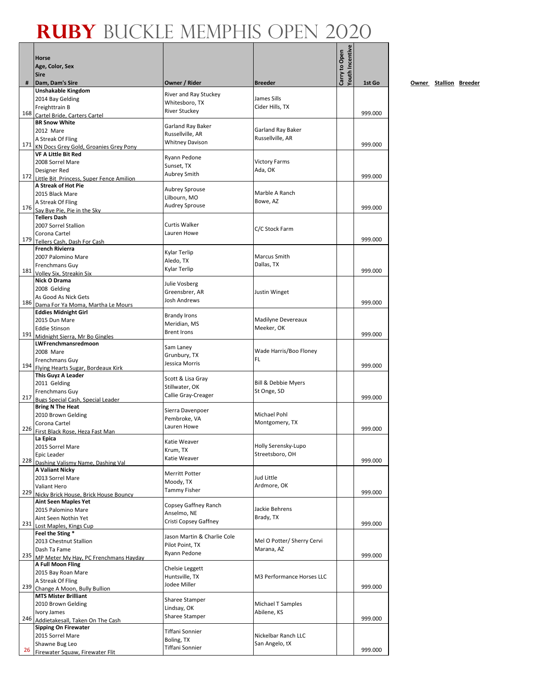|     | Horse                                                        |                                        |                                        | <b>routh Incentive</b><br>Carry to Open |         |
|-----|--------------------------------------------------------------|----------------------------------------|----------------------------------------|-----------------------------------------|---------|
|     | Age, Color, Sex                                              |                                        |                                        |                                         |         |
|     | <b>Sire</b>                                                  |                                        |                                        |                                         |         |
| #   | Dam, Dam's Sire<br>Unshakable Kingdom                        | Owner / Rider                          | <b>Breeder</b>                         |                                         | 1st Go  |
|     | 2014 Bay Gelding                                             | River and Ray Stuckey                  | James Sills                            |                                         |         |
|     | Freighttrain B                                               | Whitesboro, TX<br><b>River Stuckey</b> | Cider Hills, TX                        |                                         |         |
|     | 168 Cartel Bride, Carters Cartel                             |                                        |                                        |                                         | 999.000 |
|     | <b>BR Snow White</b><br>2012 Mare                            | Garland Ray Baker                      | Garland Ray Baker                      |                                         |         |
|     | A Streak Of Fling                                            | Russellville, AR                       | Russellville, AR                       |                                         |         |
|     | 171 KN Docs Grey Gold, Groanies Grey Pony                    | <b>Whitney Davison</b>                 |                                        |                                         | 999.000 |
|     | <b>VF A Little Bit Red</b>                                   | Ryann Pedone                           |                                        |                                         |         |
|     | 2008 Sorrel Mare                                             | Sunset, TX                             | <b>Victory Farms</b><br>Ada, OK        |                                         |         |
|     | Designer Red<br>172 Little Bit Princess, Super Fence Amilion | <b>Aubrey Smith</b>                    |                                        |                                         | 999.000 |
|     | A Streak of Hot Pie                                          | <b>Aubrey Sprouse</b>                  |                                        |                                         |         |
|     | 2015 Black Mare                                              | Lilbourn, MO                           | Marble A Ranch                         |                                         |         |
|     | A Streak Of Fling<br>176 Say Bye Pie, Pie in the Sky         | <b>Audrey Sprouse</b>                  | Bowe, AZ                               |                                         | 999.000 |
|     | <b>Tellers Dash</b>                                          |                                        |                                        |                                         |         |
|     | 2007 Sorrel Stallion                                         | <b>Curtis Walker</b>                   | C/C Stock Farm                         |                                         |         |
|     | Corona Cartel                                                | Lauren Howe                            |                                        |                                         |         |
|     | 179 Tellers Cash, Dash For Cash<br><b>French Rivierra</b>    |                                        |                                        |                                         | 999.000 |
|     | 2007 Palomino Mare                                           | Kylar Terlip                           | Marcus Smith                           |                                         |         |
|     | Frenchmans Guy                                               | Aledo, TX<br>Kylar Terlip              | Dallas, TX                             |                                         |         |
|     | 181 Volley Six, Streakin Six                                 |                                        |                                        |                                         | 999.000 |
|     | Nick O Drama                                                 | Julie Vosberg                          |                                        |                                         |         |
|     | 2008 Gelding<br>As Good As Nick Gets                         | Greensbrer, AR                         | Justin Winget                          |                                         |         |
|     | 186 Dama For Ya Moma, Martha Le Mours                        | <b>Josh Andrews</b>                    |                                        |                                         | 999.000 |
|     | <b>Eddies Midnight Girl</b>                                  | <b>Brandy Irons</b>                    |                                        |                                         |         |
|     | 2015 Dun Mare                                                | Meridian, MS                           | Madilyne Devereaux                     |                                         |         |
|     | <b>Eddie Stinson</b><br>191 Midnight Sierra, Mr Bo Gingles   | <b>Brent Irons</b>                     | Meeker, OK                             |                                         | 999.000 |
|     | LWFrenchmansredmoon                                          |                                        |                                        |                                         |         |
|     | 2008 Mare                                                    | Sam Laney<br>Grunbury, TX              | Wade Harris/Boo Floney                 |                                         |         |
|     | Frenchmans Guy                                               | Jessica Morris                         | FL.                                    |                                         | 999.000 |
|     | 194 Flying Hearts Sugar, Bordeaux Kirk<br>This Guyz A Leader |                                        |                                        |                                         |         |
|     | 2011 Gelding                                                 | Scott & Lisa Gray                      | Bill & Debbie Myers                    |                                         |         |
|     | Frenchmans Guy                                               | Stillwater, OK<br>Callie Gray-Creager  | St Onge, SD                            |                                         |         |
|     | 217 Bugs Special Cash. Special Leader                        |                                        |                                        |                                         | 999.000 |
|     | <b>Bring N The Heat</b><br>2010 Brown Gelding                | Sierra Davenpoer                       | Michael Pohl                           |                                         |         |
|     | Corona Cartel                                                | Pembroke, VA                           | Montgomery, TX                         |                                         |         |
|     | 226 First Black Rose, Heza Fast Man                          | Lauren Howe                            |                                        |                                         | 999.000 |
|     | La Еріса                                                     | Katie Weaver                           |                                        |                                         |         |
|     | 2015 Sorrel Mare<br>Epic Leader                              | Krum, TX                               | Holly Serensky-Lupo<br>Streetsboro, OH |                                         |         |
|     | 228 Dashing Valismy Name, Dashing Val                        | Katie Weaver                           |                                        |                                         | 999.000 |
|     | <b>A Valiant Nicky</b>                                       | <b>Merritt Potter</b>                  |                                        |                                         |         |
|     | 2013 Sorrel Mare                                             | Moody, TX                              | Jud Little                             |                                         |         |
| 229 | Valiant Hero<br>Nicky Brick House, Brick House Bouncy        | <b>Tammy Fisher</b>                    | Ardmore, OK                            |                                         | 999.000 |
|     | <b>Aint Seen Maples Yet</b>                                  |                                        |                                        |                                         |         |
|     | 2015 Palomino Mare                                           | Copsey Gaffney Ranch<br>Anselmo, NE    | Jackie Behrens                         |                                         |         |
| 231 | Aint Seen Nothin Yet                                         | Cristi Copsey Gaffney                  | Brady, TX                              |                                         | 999.000 |
|     | Lost Maples, Kings Cup<br>Feel the Sting *                   |                                        |                                        |                                         |         |
|     | 2013 Chestnut Stallion                                       | Jason Martin & Charlie Cole            | Mel O Potter/ Sherry Cervi             |                                         |         |
|     | Dash Ta Fame                                                 | Pilot Point, TX<br>Ryann Pedone        | Marana, AZ                             |                                         |         |
| 235 | MP Meter My Hay, PC Frenchmans Hayday                        |                                        |                                        |                                         | 999.000 |
|     | A Full Moon Fling<br>2015 Bay Roan Mare                      | Chelsie Leggett                        |                                        |                                         |         |
|     | A Streak Of Fling                                            | Huntsville, TX                         | M3 Performance Horses LLC              |                                         |         |
|     | 239 Change A Moon, Bully Bullion                             | Jodee Miller                           |                                        |                                         | 999.000 |
|     | <b>MTS Mister Brilliant</b>                                  | Sharee Stamper                         |                                        |                                         |         |
|     | 2010 Brown Gelding                                           | Lindsay, OK                            | Michael T Samples<br>Abilene, KS       |                                         |         |
| 246 | Ivory James<br>Addietakesall, Taken On The Cash              | Sharee Stamper                         |                                        |                                         | 999.000 |
|     | <b>Sipping On Firewater</b>                                  | Tiffani Sonnier                        |                                        |                                         |         |
|     | 2015 Sorrel Mare                                             | Boling, TX                             | Nickelbar Ranch LLC                    |                                         |         |
| 26  | Shawne Bug Leo                                               | Tiffani Sonnier                        | San Angelo, tX                         |                                         | 999.000 |
|     | Firewater Squaw, Firewater Flit                              |                                        |                                        |                                         |         |